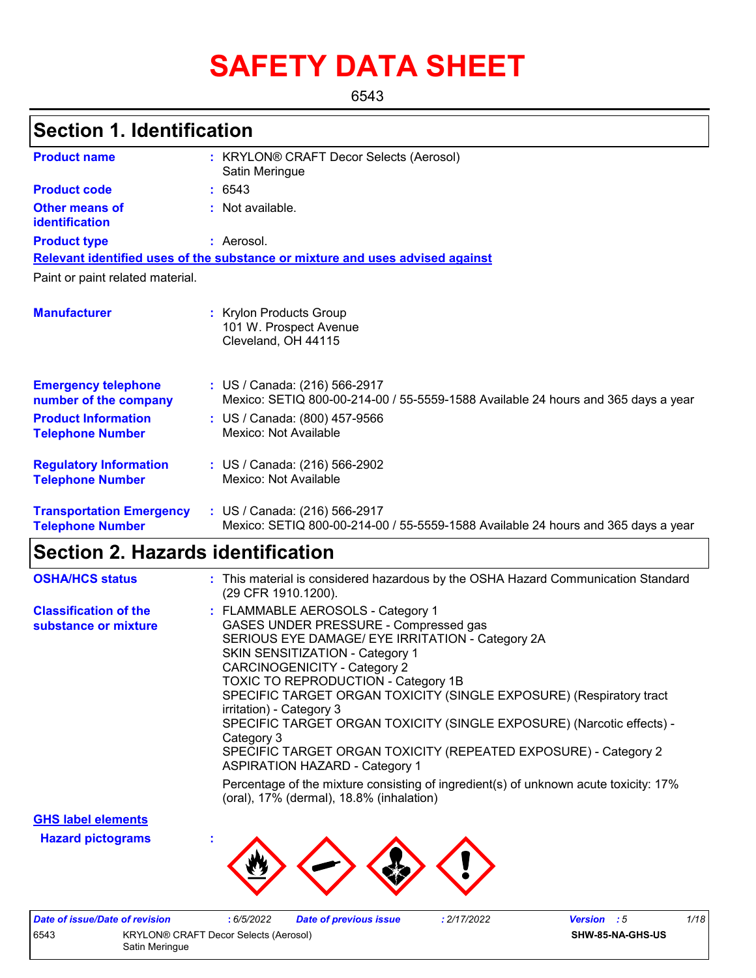# **SAFETY DATA SHEET**

6543

# **Section 1. Identification**

| <b>Product name</b>                                        | : KRYLON® CRAFT Decor Selects (Aerosol)<br>Satin Meringue                                                          |
|------------------------------------------------------------|--------------------------------------------------------------------------------------------------------------------|
| <b>Product code</b>                                        | : 6543                                                                                                             |
| Other means of<br>identification                           | : Not available.                                                                                                   |
| <b>Product type</b>                                        | : Aerosol.                                                                                                         |
|                                                            | Relevant identified uses of the substance or mixture and uses advised against                                      |
| Paint or paint related material.                           |                                                                                                                    |
| <b>Manufacturer</b>                                        | : Krylon Products Group<br>101 W. Prospect Avenue<br>Cleveland, OH 44115                                           |
| <b>Emergency telephone</b><br>number of the company        | : US / Canada: (216) 566-2917<br>Mexico: SETIQ 800-00-214-00 / 55-5559-1588 Available 24 hours and 365 days a year |
| <b>Product Information</b><br><b>Telephone Number</b>      | : US / Canada: (800) 457-9566<br>Mexico: Not Available                                                             |
| <b>Regulatory Information</b><br><b>Telephone Number</b>   | : US / Canada: (216) 566-2902<br>Mexico: Not Available                                                             |
| <b>Transportation Emergency</b><br><b>Telephone Number</b> | : US / Canada: (216) 566-2917<br>Mexico: SETIQ 800-00-214-00 / 55-5559-1588 Available 24 hours and 365 days a year |

### **Section 2. Hazards identification**

| <b>OSHA/HCS status</b>                               | : This material is considered hazardous by the OSHA Hazard Communication Standard<br>(29 CFR 1910.1200).                                                                                                                                                                                                                                                                                                                                                                                                                                                            |
|------------------------------------------------------|---------------------------------------------------------------------------------------------------------------------------------------------------------------------------------------------------------------------------------------------------------------------------------------------------------------------------------------------------------------------------------------------------------------------------------------------------------------------------------------------------------------------------------------------------------------------|
| <b>Classification of the</b><br>substance or mixture | : FLAMMABLE AEROSOLS - Category 1<br>GASES UNDER PRESSURE - Compressed gas<br>SERIOUS EYE DAMAGE/ EYE IRRITATION - Category 2A<br><b>SKIN SENSITIZATION - Category 1</b><br><b>CARCINOGENICITY - Category 2</b><br><b>TOXIC TO REPRODUCTION - Category 1B</b><br>SPECIFIC TARGET ORGAN TOXICITY (SINGLE EXPOSURE) (Respiratory tract<br>irritation) - Category 3<br>SPECIFIC TARGET ORGAN TOXICITY (SINGLE EXPOSURE) (Narcotic effects) -<br>Category 3<br>SPECIFIC TARGET ORGAN TOXICITY (REPEATED EXPOSURE) - Category 2<br><b>ASPIRATION HAZARD - Category 1</b> |
|                                                      | Percentage of the mixture consisting of ingredient(s) of unknown acute toxicity: 17%<br>(oral), 17% (dermal), 18.8% (inhalation)                                                                                                                                                                                                                                                                                                                                                                                                                                    |

**GHS label elements**

**Hazard pictograms :**



|      | Date of issue/Date of revision               | 6/5/2022 | Date of previous issue | 2/17/2022 | <b>Version</b> : 5      | 1/18 |
|------|----------------------------------------------|----------|------------------------|-----------|-------------------------|------|
| 6543 | <b>KRYLON® CRAFT Decor Selects (Aerosol)</b> |          |                        |           | <b>SHW-85-NA-GHS-US</b> |      |
|      | Satin Meringue                               |          |                        |           |                         |      |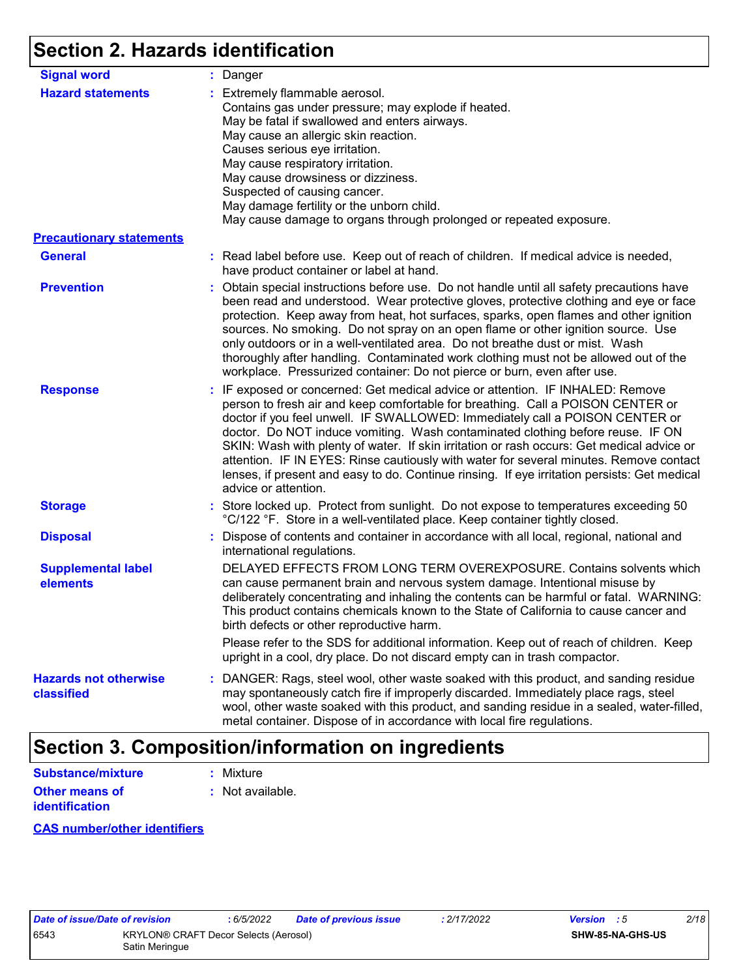# **Section 2. Hazards identification**

| <b>Signal word</b>                         | : Danger                                                                                                                                                                                                                                                                                                                                                                                                                                                                                                                                                                                                                                           |
|--------------------------------------------|----------------------------------------------------------------------------------------------------------------------------------------------------------------------------------------------------------------------------------------------------------------------------------------------------------------------------------------------------------------------------------------------------------------------------------------------------------------------------------------------------------------------------------------------------------------------------------------------------------------------------------------------------|
| <b>Hazard statements</b>                   | : Extremely flammable aerosol.<br>Contains gas under pressure; may explode if heated.<br>May be fatal if swallowed and enters airways.<br>May cause an allergic skin reaction.<br>Causes serious eye irritation.<br>May cause respiratory irritation.<br>May cause drowsiness or dizziness.<br>Suspected of causing cancer.<br>May damage fertility or the unborn child.<br>May cause damage to organs through prolonged or repeated exposure.                                                                                                                                                                                                     |
| <b>Precautionary statements</b>            |                                                                                                                                                                                                                                                                                                                                                                                                                                                                                                                                                                                                                                                    |
| <b>General</b>                             | : Read label before use. Keep out of reach of children. If medical advice is needed,<br>have product container or label at hand.                                                                                                                                                                                                                                                                                                                                                                                                                                                                                                                   |
| <b>Prevention</b>                          | : Obtain special instructions before use. Do not handle until all safety precautions have<br>been read and understood. Wear protective gloves, protective clothing and eye or face<br>protection. Keep away from heat, hot surfaces, sparks, open flames and other ignition<br>sources. No smoking. Do not spray on an open flame or other ignition source. Use<br>only outdoors or in a well-ventilated area. Do not breathe dust or mist. Wash<br>thoroughly after handling. Contaminated work clothing must not be allowed out of the<br>workplace. Pressurized container: Do not pierce or burn, even after use.                               |
| <b>Response</b>                            | : IF exposed or concerned: Get medical advice or attention. IF INHALED: Remove<br>person to fresh air and keep comfortable for breathing. Call a POISON CENTER or<br>doctor if you feel unwell. IF SWALLOWED: Immediately call a POISON CENTER or<br>doctor. Do NOT induce vomiting. Wash contaminated clothing before reuse. IF ON<br>SKIN: Wash with plenty of water. If skin irritation or rash occurs: Get medical advice or<br>attention. IF IN EYES: Rinse cautiously with water for several minutes. Remove contact<br>lenses, if present and easy to do. Continue rinsing. If eye irritation persists: Get medical<br>advice or attention. |
| <b>Storage</b>                             | : Store locked up. Protect from sunlight. Do not expose to temperatures exceeding 50<br>°C/122 °F. Store in a well-ventilated place. Keep container tightly closed.                                                                                                                                                                                                                                                                                                                                                                                                                                                                                |
| <b>Disposal</b>                            | : Dispose of contents and container in accordance with all local, regional, national and<br>international regulations.                                                                                                                                                                                                                                                                                                                                                                                                                                                                                                                             |
| <b>Supplemental label</b><br>elements      | DELAYED EFFECTS FROM LONG TERM OVEREXPOSURE. Contains solvents which<br>can cause permanent brain and nervous system damage. Intentional misuse by<br>deliberately concentrating and inhaling the contents can be harmful or fatal. WARNING:<br>This product contains chemicals known to the State of California to cause cancer and<br>birth defects or other reproductive harm.                                                                                                                                                                                                                                                                  |
|                                            | Please refer to the SDS for additional information. Keep out of reach of children. Keep<br>upright in a cool, dry place. Do not discard empty can in trash compactor.                                                                                                                                                                                                                                                                                                                                                                                                                                                                              |
| <b>Hazards not otherwise</b><br>classified | : DANGER: Rags, steel wool, other waste soaked with this product, and sanding residue<br>may spontaneously catch fire if improperly discarded. Immediately place rags, steel<br>wool, other waste soaked with this product, and sanding residue in a sealed, water-filled,<br>metal container. Dispose of in accordance with local fire regulations.                                                                                                                                                                                                                                                                                               |

## **Section 3. Composition/information on ingredients**

| <b>Substance/mixture</b> | : Mixture        |
|--------------------------|------------------|
| Other means of           | : Not available. |
| <b>identification</b>    |                  |

#### **CAS number/other identifiers**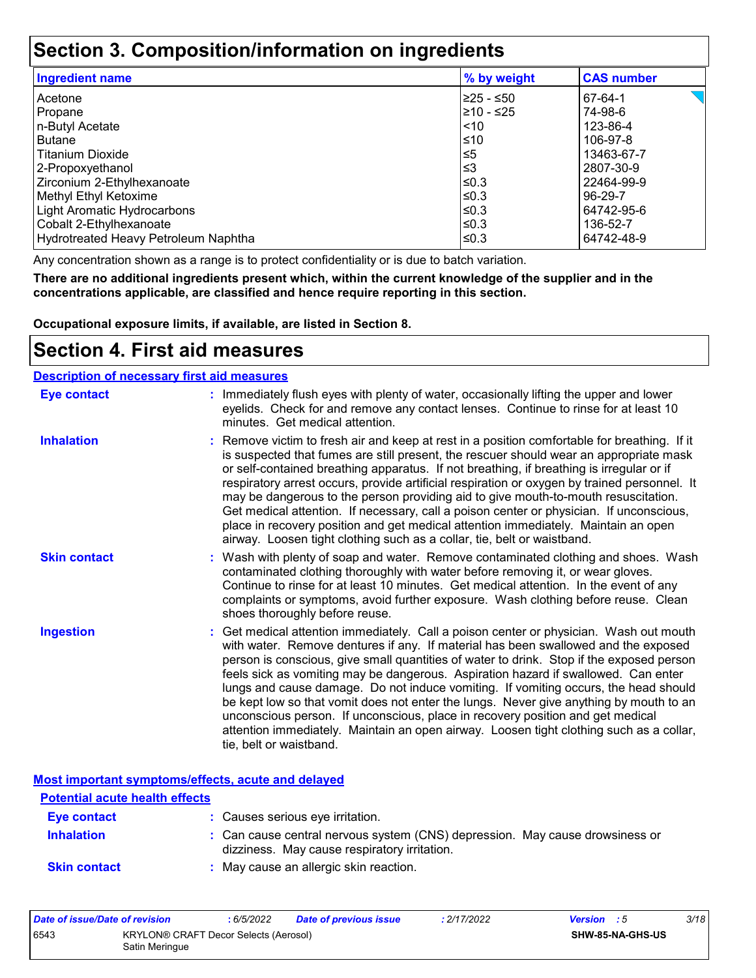### **Section 3. Composition/information on ingredients**

| <b>Ingredient name</b>               | % by weight | <b>CAS number</b> |
|--------------------------------------|-------------|-------------------|
| l Acetone                            | I≥25 - ≤50  | 67-64-1           |
| Propane                              | l≥10 - ≤25  | 74-98-6           |
| n-Butyl Acetate                      | $\leq 10$   | 123-86-4          |
| Butane                               | ≤10         | 106-97-8          |
| Titanium Dioxide                     | ≤5          | 13463-67-7        |
| 2-Propoxyethanol                     | ՝≤3         | 2807-30-9         |
| Zirconium 2-Ethylhexanoate           | l≤0.3       | 22464-99-9        |
| Methyl Ethyl Ketoxime                | l≤0.3       | 96-29-7           |
| Light Aromatic Hydrocarbons          | l≤0.3       | 64742-95-6        |
| Cobalt 2-Ethylhexanoate              | l≤0.3       | 136-52-7          |
| Hydrotreated Heavy Petroleum Naphtha | l≤0.3       | 64742-48-9        |

Any concentration shown as a range is to protect confidentiality or is due to batch variation.

**There are no additional ingredients present which, within the current knowledge of the supplier and in the concentrations applicable, are classified and hence require reporting in this section.**

**Occupational exposure limits, if available, are listed in Section 8.**

### **Section 4. First aid measures**

#### **Description of necessary first aid measures**

| <b>Eye contact</b>  | : Immediately flush eyes with plenty of water, occasionally lifting the upper and lower<br>eyelids. Check for and remove any contact lenses. Continue to rinse for at least 10<br>minutes. Get medical attention.                                                                                                                                                                                                                                                                                                                                                                                                                                                                                                                                       |
|---------------------|---------------------------------------------------------------------------------------------------------------------------------------------------------------------------------------------------------------------------------------------------------------------------------------------------------------------------------------------------------------------------------------------------------------------------------------------------------------------------------------------------------------------------------------------------------------------------------------------------------------------------------------------------------------------------------------------------------------------------------------------------------|
| <b>Inhalation</b>   | : Remove victim to fresh air and keep at rest in a position comfortable for breathing. If it<br>is suspected that fumes are still present, the rescuer should wear an appropriate mask<br>or self-contained breathing apparatus. If not breathing, if breathing is irregular or if<br>respiratory arrest occurs, provide artificial respiration or oxygen by trained personnel. It<br>may be dangerous to the person providing aid to give mouth-to-mouth resuscitation.<br>Get medical attention. If necessary, call a poison center or physician. If unconscious,<br>place in recovery position and get medical attention immediately. Maintain an open<br>airway. Loosen tight clothing such as a collar, tie, belt or waistband.                    |
| <b>Skin contact</b> | : Wash with plenty of soap and water. Remove contaminated clothing and shoes. Wash<br>contaminated clothing thoroughly with water before removing it, or wear gloves.<br>Continue to rinse for at least 10 minutes. Get medical attention. In the event of any<br>complaints or symptoms, avoid further exposure. Wash clothing before reuse. Clean<br>shoes thoroughly before reuse.                                                                                                                                                                                                                                                                                                                                                                   |
| <b>Ingestion</b>    | : Get medical attention immediately. Call a poison center or physician. Wash out mouth<br>with water. Remove dentures if any. If material has been swallowed and the exposed<br>person is conscious, give small quantities of water to drink. Stop if the exposed person<br>feels sick as vomiting may be dangerous. Aspiration hazard if swallowed. Can enter<br>lungs and cause damage. Do not induce vomiting. If vomiting occurs, the head should<br>be kept low so that vomit does not enter the lungs. Never give anything by mouth to an<br>unconscious person. If unconscious, place in recovery position and get medical<br>attention immediately. Maintain an open airway. Loosen tight clothing such as a collar,<br>tie, belt or waistband. |

**Most important symptoms/effects, acute and delayed**

| <b>Potential acute health effects</b> |                                                                                                                              |
|---------------------------------------|------------------------------------------------------------------------------------------------------------------------------|
| Eye contact                           | : Causes serious eye irritation.                                                                                             |
| <b>Inhalation</b>                     | : Can cause central nervous system (CNS) depression. May cause drowsiness or<br>dizziness. May cause respiratory irritation. |
| <b>Skin contact</b>                   | : May cause an allergic skin reaction.                                                                                       |

| Date of issue/Date of revision |                                                         | : 6/5/2022 | Date of previous issue | : 2/17/2022 | <b>Version</b> : 5 |                  | 3/18 |
|--------------------------------|---------------------------------------------------------|------------|------------------------|-------------|--------------------|------------------|------|
| 6543                           | KRYLON® CRAFT Decor Selects (Aerosol)<br>Satin Meringue |            |                        |             |                    | SHW-85-NA-GHS-US |      |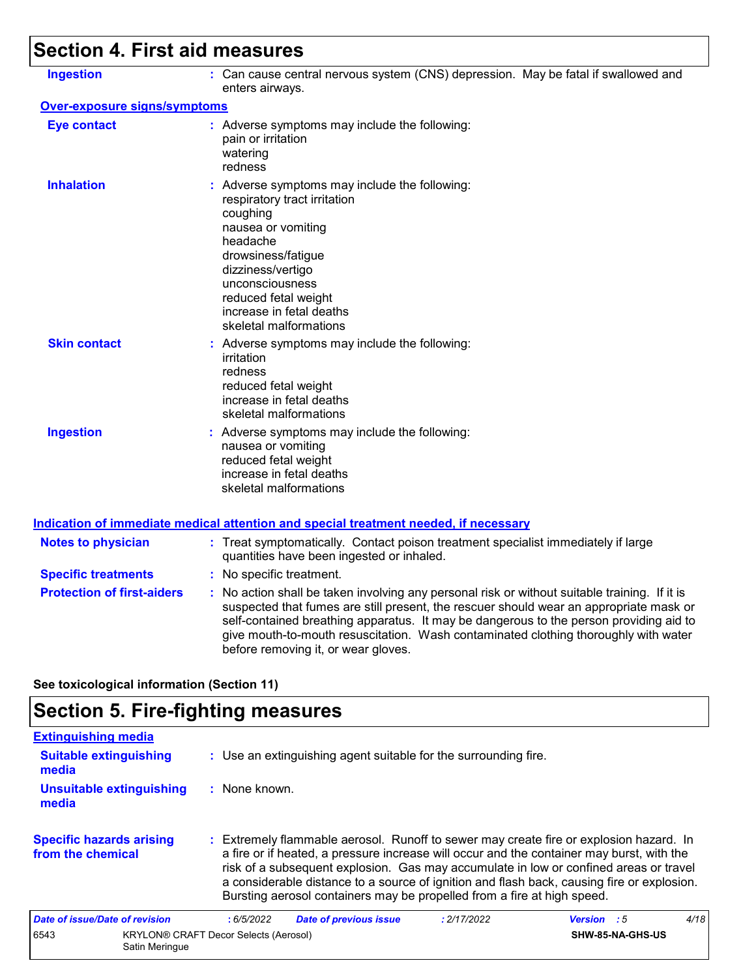# **Section 4. First aid measures**

| <b>Ingestion</b>                  | : Can cause central nervous system (CNS) depression. May be fatal if swallowed and<br>enters airways.                                                                                                                                                                                                                                                                                                           |
|-----------------------------------|-----------------------------------------------------------------------------------------------------------------------------------------------------------------------------------------------------------------------------------------------------------------------------------------------------------------------------------------------------------------------------------------------------------------|
| Over-exposure signs/symptoms      |                                                                                                                                                                                                                                                                                                                                                                                                                 |
| <b>Eye contact</b>                | : Adverse symptoms may include the following:<br>pain or irritation<br>watering<br>redness                                                                                                                                                                                                                                                                                                                      |
| <b>Inhalation</b>                 | : Adverse symptoms may include the following:<br>respiratory tract irritation<br>coughing<br>nausea or vomiting<br>headache<br>drowsiness/fatigue<br>dizziness/vertigo<br>unconsciousness<br>reduced fetal weight<br>increase in fetal deaths<br>skeletal malformations                                                                                                                                         |
| <b>Skin contact</b>               | : Adverse symptoms may include the following:<br>irritation<br>redness<br>reduced fetal weight<br>increase in fetal deaths<br>skeletal malformations                                                                                                                                                                                                                                                            |
| <b>Ingestion</b>                  | : Adverse symptoms may include the following:<br>nausea or vomiting<br>reduced fetal weight<br>increase in fetal deaths<br>skeletal malformations                                                                                                                                                                                                                                                               |
|                                   | Indication of immediate medical attention and special treatment needed, if necessary                                                                                                                                                                                                                                                                                                                            |
| <b>Notes to physician</b>         | : Treat symptomatically. Contact poison treatment specialist immediately if large<br>quantities have been ingested or inhaled.                                                                                                                                                                                                                                                                                  |
| <b>Specific treatments</b>        | : No specific treatment.                                                                                                                                                                                                                                                                                                                                                                                        |
| <b>Protection of first-aiders</b> | : No action shall be taken involving any personal risk or without suitable training. If it is<br>suspected that fumes are still present, the rescuer should wear an appropriate mask or<br>self-contained breathing apparatus. It may be dangerous to the person providing aid to<br>give mouth-to-mouth resuscitation. Wash contaminated clothing thoroughly with water<br>before removing it, or wear gloves. |
|                                   |                                                                                                                                                                                                                                                                                                                                                                                                                 |

**See toxicological information (Section 11)**

# **Section 5. Fire-fighting measures**

| <b>Extinguishing media</b>                           |                                              |                                                                                                                                                                                                                                                                                                                                                                                                                                                       |                  |      |
|------------------------------------------------------|----------------------------------------------|-------------------------------------------------------------------------------------------------------------------------------------------------------------------------------------------------------------------------------------------------------------------------------------------------------------------------------------------------------------------------------------------------------------------------------------------------------|------------------|------|
| <b>Suitable extinguishing</b><br>media               |                                              | : Use an extinguishing agent suitable for the surrounding fire.                                                                                                                                                                                                                                                                                                                                                                                       |                  |      |
| <b>Unsuitable extinguishing</b><br>media             | : None known.                                |                                                                                                                                                                                                                                                                                                                                                                                                                                                       |                  |      |
| <b>Specific hazards arising</b><br>from the chemical |                                              | : Extremely flammable aerosol. Runoff to sewer may create fire or explosion hazard. In<br>a fire or if heated, a pressure increase will occur and the container may burst, with the<br>risk of a subsequent explosion. Gas may accumulate in low or confined areas or travel<br>a considerable distance to a source of ignition and flash back, causing fire or explosion.<br>Bursting aerosol containers may be propelled from a fire at high speed. |                  |      |
| Date of issue/Date of revision                       | :6/5/2022<br><b>Date of previous issue</b>   | : 2/17/2022                                                                                                                                                                                                                                                                                                                                                                                                                                           | Version : 5      | 4/18 |
| 6543<br>Satin Meringue                               | <b>KRYLON® CRAFT Decor Selects (Aerosol)</b> |                                                                                                                                                                                                                                                                                                                                                                                                                                                       | SHW-85-NA-GHS-US |      |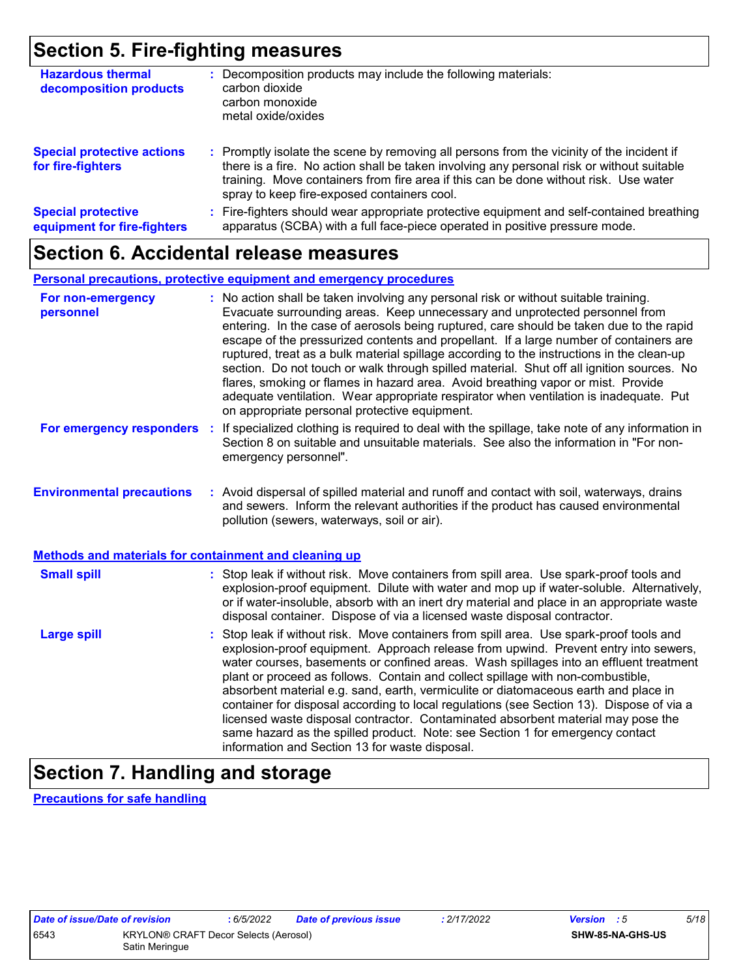### **Section 5. Fire-fighting measures**

| <b>Hazardous thermal</b><br>decomposition products       | Decomposition products may include the following materials:<br>carbon dioxide<br>carbon monoxide<br>metal oxide/oxides                                                                                                                                                                                                        |
|----------------------------------------------------------|-------------------------------------------------------------------------------------------------------------------------------------------------------------------------------------------------------------------------------------------------------------------------------------------------------------------------------|
| <b>Special protective actions</b><br>for fire-fighters   | : Promptly isolate the scene by removing all persons from the vicinity of the incident if<br>there is a fire. No action shall be taken involving any personal risk or without suitable<br>training. Move containers from fire area if this can be done without risk. Use water<br>spray to keep fire-exposed containers cool. |
| <b>Special protective</b><br>equipment for fire-fighters | Fire-fighters should wear appropriate protective equipment and self-contained breathing<br>apparatus (SCBA) with a full face-piece operated in positive pressure mode.                                                                                                                                                        |

### **Section 6. Accidental release measures**

#### **Personal precautions, protective equipment and emergency procedures**

| For non-emergency<br>personnel                               | : No action shall be taken involving any personal risk or without suitable training.<br>Evacuate surrounding areas. Keep unnecessary and unprotected personnel from<br>entering. In the case of aerosols being ruptured, care should be taken due to the rapid<br>escape of the pressurized contents and propellant. If a large number of containers are<br>ruptured, treat as a bulk material spillage according to the instructions in the clean-up<br>section. Do not touch or walk through spilled material. Shut off all ignition sources. No<br>flares, smoking or flames in hazard area. Avoid breathing vapor or mist. Provide<br>adequate ventilation. Wear appropriate respirator when ventilation is inadequate. Put<br>on appropriate personal protective equipment. |  |
|--------------------------------------------------------------|----------------------------------------------------------------------------------------------------------------------------------------------------------------------------------------------------------------------------------------------------------------------------------------------------------------------------------------------------------------------------------------------------------------------------------------------------------------------------------------------------------------------------------------------------------------------------------------------------------------------------------------------------------------------------------------------------------------------------------------------------------------------------------|--|
| For emergency responders                                     | : If specialized clothing is required to deal with the spillage, take note of any information in<br>Section 8 on suitable and unsuitable materials. See also the information in "For non-<br>emergency personnel".                                                                                                                                                                                                                                                                                                                                                                                                                                                                                                                                                               |  |
| <b>Environmental precautions</b>                             | : Avoid dispersal of spilled material and runoff and contact with soil, waterways, drains<br>and sewers. Inform the relevant authorities if the product has caused environmental<br>pollution (sewers, waterways, soil or air).                                                                                                                                                                                                                                                                                                                                                                                                                                                                                                                                                  |  |
| <b>Methods and materials for containment and cleaning up</b> |                                                                                                                                                                                                                                                                                                                                                                                                                                                                                                                                                                                                                                                                                                                                                                                  |  |
| <b>Small spill</b>                                           | : Stop leak if without risk. Move containers from spill area. Use spark-proof tools and<br>explosion-proof equipment. Dilute with water and mop up if water-soluble. Alternatively,<br>or if water-insoluble, absorb with an inert dry material and place in an appropriate waste<br>disposal container. Dispose of via a licensed waste disposal contractor.                                                                                                                                                                                                                                                                                                                                                                                                                    |  |
| <b>Large spill</b>                                           | : Stop leak if without risk. Move containers from spill area. Use spark-proof tools and<br>explosion-proof equipment. Approach release from upwind. Prevent entry into sewers,<br>water courses, basements or confined areas. Wash spillages into an effluent treatment<br>plant or proceed as follows. Contain and collect spillage with non-combustible,<br>absorbent material e.g. sand, earth, vermiculite or diatomaceous earth and place in<br>container for disposal according to local regulations (see Section 13). Dispose of via a<br>licensed waste disposal contractor. Contaminated absorbent material may pose the<br>same hazard as the spilled product. Note: see Section 1 for emergency contact<br>information and Section 13 for waste disposal.             |  |

# **Section 7. Handling and storage**

**Precautions for safe handling**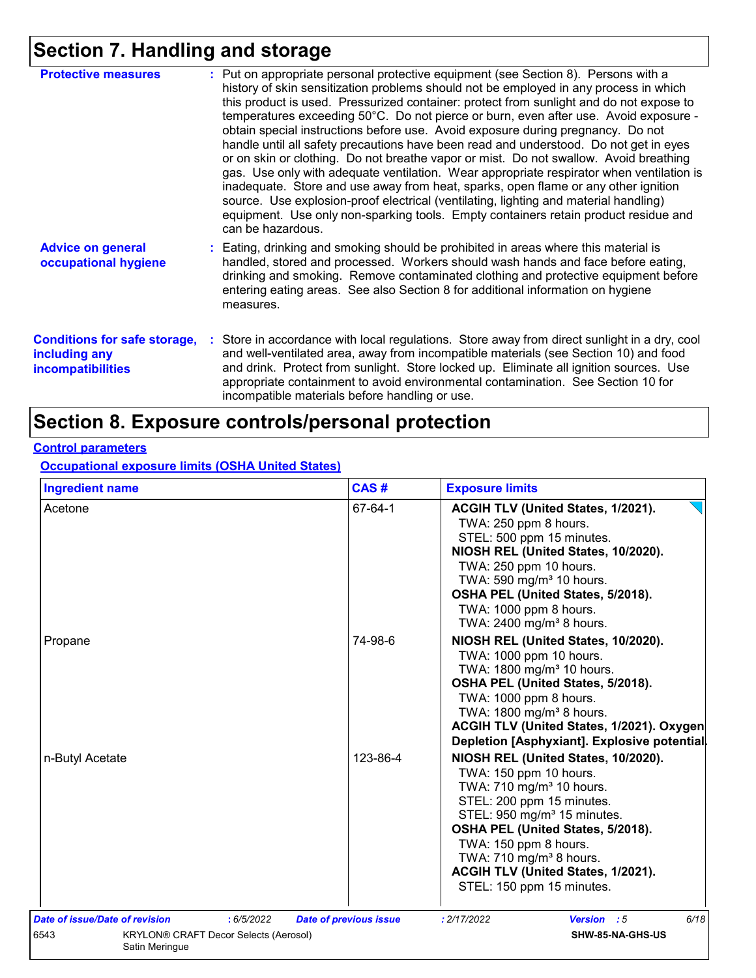# **Section 7. Handling and storage**

| <b>Protective measures</b>                                                       | : Put on appropriate personal protective equipment (see Section 8). Persons with a<br>history of skin sensitization problems should not be employed in any process in which<br>this product is used. Pressurized container: protect from sunlight and do not expose to<br>temperatures exceeding 50°C. Do not pierce or burn, even after use. Avoid exposure -<br>obtain special instructions before use. Avoid exposure during pregnancy. Do not<br>handle until all safety precautions have been read and understood. Do not get in eyes<br>or on skin or clothing. Do not breathe vapor or mist. Do not swallow. Avoid breathing<br>gas. Use only with adequate ventilation. Wear appropriate respirator when ventilation is<br>inadequate. Store and use away from heat, sparks, open flame or any other ignition<br>source. Use explosion-proof electrical (ventilating, lighting and material handling)<br>equipment. Use only non-sparking tools. Empty containers retain product residue and<br>can be hazardous. |
|----------------------------------------------------------------------------------|---------------------------------------------------------------------------------------------------------------------------------------------------------------------------------------------------------------------------------------------------------------------------------------------------------------------------------------------------------------------------------------------------------------------------------------------------------------------------------------------------------------------------------------------------------------------------------------------------------------------------------------------------------------------------------------------------------------------------------------------------------------------------------------------------------------------------------------------------------------------------------------------------------------------------------------------------------------------------------------------------------------------------|
| <b>Advice on general</b><br>occupational hygiene                                 | : Eating, drinking and smoking should be prohibited in areas where this material is<br>handled, stored and processed. Workers should wash hands and face before eating,<br>drinking and smoking. Remove contaminated clothing and protective equipment before<br>entering eating areas. See also Section 8 for additional information on hygiene<br>measures.                                                                                                                                                                                                                                                                                                                                                                                                                                                                                                                                                                                                                                                             |
| <b>Conditions for safe storage,</b><br>including any<br><b>incompatibilities</b> | : Store in accordance with local regulations. Store away from direct sunlight in a dry, cool<br>and well-ventilated area, away from incompatible materials (see Section 10) and food<br>and drink. Protect from sunlight. Store locked up. Eliminate all ignition sources. Use<br>appropriate containment to avoid environmental contamination. See Section 10 for<br>incompatible materials before handling or use.                                                                                                                                                                                                                                                                                                                                                                                                                                                                                                                                                                                                      |

## **Section 8. Exposure controls/personal protection**

#### **Control parameters**

**Occupational exposure limits (OSHA United States)**

| <b>Ingredient name</b>         |                                              | CAS#                          | <b>Exposure limits</b>                                                                                                                                                                                                                                                                                                                                |
|--------------------------------|----------------------------------------------|-------------------------------|-------------------------------------------------------------------------------------------------------------------------------------------------------------------------------------------------------------------------------------------------------------------------------------------------------------------------------------------------------|
| Acetone<br>Propane             |                                              | 67-64-1                       | ACGIH TLV (United States, 1/2021).<br>TWA: 250 ppm 8 hours.<br>STEL: 500 ppm 15 minutes.<br>NIOSH REL (United States, 10/2020).<br>TWA: 250 ppm 10 hours.<br>TWA: 590 mg/m <sup>3</sup> 10 hours.<br>OSHA PEL (United States, 5/2018).<br>TWA: 1000 ppm 8 hours.<br>TWA: 2400 mg/m <sup>3</sup> 8 hours.                                              |
|                                |                                              | 74-98-6                       | NIOSH REL (United States, 10/2020).<br>TWA: 1000 ppm 10 hours.<br>TWA: 1800 mg/m <sup>3</sup> 10 hours.<br>OSHA PEL (United States, 5/2018).<br>TWA: 1000 ppm 8 hours.<br>TWA: 1800 mg/m <sup>3</sup> 8 hours.<br>ACGIH TLV (United States, 1/2021). Oxygen<br>Depletion [Asphyxiant]. Explosive potential.                                           |
| n-Butyl Acetate                |                                              | 123-86-4                      | NIOSH REL (United States, 10/2020).<br>TWA: 150 ppm 10 hours.<br>TWA: 710 mg/m <sup>3</sup> 10 hours.<br>STEL: 200 ppm 15 minutes.<br>STEL: 950 mg/m <sup>3</sup> 15 minutes.<br>OSHA PEL (United States, 5/2018).<br>TWA: 150 ppm 8 hours.<br>TWA: 710 mg/m <sup>3</sup> 8 hours.<br>ACGIH TLV (United States, 1/2021).<br>STEL: 150 ppm 15 minutes. |
| Date of issue/Date of revision | : 6/5/2022                                   | <b>Date of previous issue</b> | 6/18<br>: 2/17/2022<br>Version : 5                                                                                                                                                                                                                                                                                                                    |
| 6543<br>Satin Meringue         | <b>KRYLON® CRAFT Decor Selects (Aerosol)</b> |                               | SHW-85-NA-GHS-US                                                                                                                                                                                                                                                                                                                                      |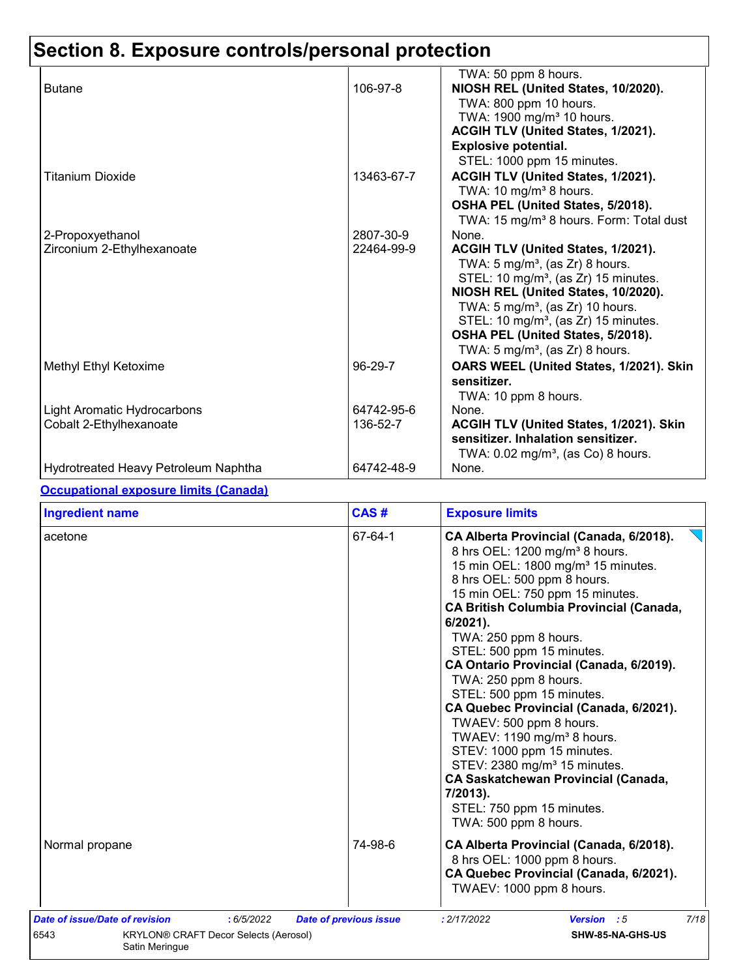# **Section 8. Exposure controls/personal protection**

|                                      |            | TWA: 50 ppm 8 hours.                                |
|--------------------------------------|------------|-----------------------------------------------------|
| <b>Butane</b>                        | 106-97-8   | NIOSH REL (United States, 10/2020).                 |
|                                      |            | TWA: 800 ppm 10 hours.                              |
|                                      |            | TWA: 1900 mg/m <sup>3</sup> 10 hours.               |
|                                      |            | ACGIH TLV (United States, 1/2021).                  |
|                                      |            | <b>Explosive potential.</b>                         |
|                                      |            | STEL: 1000 ppm 15 minutes.                          |
| Titanium Dioxide                     | 13463-67-7 | ACGIH TLV (United States, 1/2021).                  |
|                                      |            | TWA: 10 mg/m <sup>3</sup> 8 hours.                  |
|                                      |            | OSHA PEL (United States, 5/2018).                   |
|                                      |            | TWA: 15 mg/m <sup>3</sup> 8 hours. Form: Total dust |
| 2-Propoxyethanol                     | 2807-30-9  | None.                                               |
| Zirconium 2-Ethylhexanoate           | 22464-99-9 | ACGIH TLV (United States, 1/2021).                  |
|                                      |            | TWA: 5 mg/m <sup>3</sup> , (as Zr) 8 hours.         |
|                                      |            | STEL: 10 mg/m <sup>3</sup> , (as Zr) 15 minutes.    |
|                                      |            | NIOSH REL (United States, 10/2020).                 |
|                                      |            | TWA: $5 \text{ mg/m}^3$ , (as Zr) 10 hours.         |
|                                      |            | STEL: 10 mg/m <sup>3</sup> , (as Zr) 15 minutes.    |
|                                      |            | OSHA PEL (United States, 5/2018).                   |
|                                      |            | TWA: 5 mg/m <sup>3</sup> , (as Zr) 8 hours.         |
| Methyl Ethyl Ketoxime                | 96-29-7    | OARS WEEL (United States, 1/2021). Skin             |
|                                      |            | sensitizer.                                         |
|                                      |            | TWA: 10 ppm 8 hours.                                |
| Light Aromatic Hydrocarbons          | 64742-95-6 | None.                                               |
| Cobalt 2-Ethylhexanoate              | 136-52-7   | ACGIH TLV (United States, 1/2021). Skin             |
|                                      |            | sensitizer. Inhalation sensitizer.                  |
|                                      |            | TWA: $0.02$ mg/m <sup>3</sup> , (as Co) 8 hours.    |
| Hydrotreated Heavy Petroleum Naphtha | 64742-48-9 | None.                                               |

#### **Occupational exposure limits (Canada)**

| <b>Ingredient name</b>                                                                               | CAS#                          | <b>Exposure limits</b>                                                                                                                                                                                                                                                                                                                                                                                                                                                                                                                                                                                                                                                                                                             |
|------------------------------------------------------------------------------------------------------|-------------------------------|------------------------------------------------------------------------------------------------------------------------------------------------------------------------------------------------------------------------------------------------------------------------------------------------------------------------------------------------------------------------------------------------------------------------------------------------------------------------------------------------------------------------------------------------------------------------------------------------------------------------------------------------------------------------------------------------------------------------------------|
| acetone                                                                                              | 67-64-1                       | CA Alberta Provincial (Canada, 6/2018).<br>8 hrs OEL: 1200 mg/m <sup>3</sup> 8 hours.<br>15 min OEL: 1800 mg/m <sup>3</sup> 15 minutes.<br>8 hrs OEL: 500 ppm 8 hours.<br>15 min OEL: 750 ppm 15 minutes.<br><b>CA British Columbia Provincial (Canada,</b><br>$6/2021$ .<br>TWA: 250 ppm 8 hours.<br>STEL: 500 ppm 15 minutes.<br>CA Ontario Provincial (Canada, 6/2019).<br>TWA: 250 ppm 8 hours.<br>STEL: 500 ppm 15 minutes.<br>CA Quebec Provincial (Canada, 6/2021).<br>TWAEV: 500 ppm 8 hours.<br>TWAEV: 1190 mg/m <sup>3</sup> 8 hours.<br>STEV: 1000 ppm 15 minutes.<br>STEV: 2380 mg/m <sup>3</sup> 15 minutes.<br>CA Saskatchewan Provincial (Canada,<br>7/2013).<br>STEL: 750 ppm 15 minutes.<br>TWA: 500 ppm 8 hours. |
| Normal propane                                                                                       | 74-98-6                       | CA Alberta Provincial (Canada, 6/2018).<br>8 hrs OEL: 1000 ppm 8 hours.<br>CA Quebec Provincial (Canada, 6/2021).<br>TWAEV: 1000 ppm 8 hours.                                                                                                                                                                                                                                                                                                                                                                                                                                                                                                                                                                                      |
| Date of issue/Date of revision<br>: 6/5/2022<br>6543<br><b>KRYLON® CRAFT Decor Selects (Aerosol)</b> | <b>Date of previous issue</b> | 7/18<br>: 2/17/2022<br><b>Version</b> : 5<br>SHW-85-NA-GHS-US                                                                                                                                                                                                                                                                                                                                                                                                                                                                                                                                                                                                                                                                      |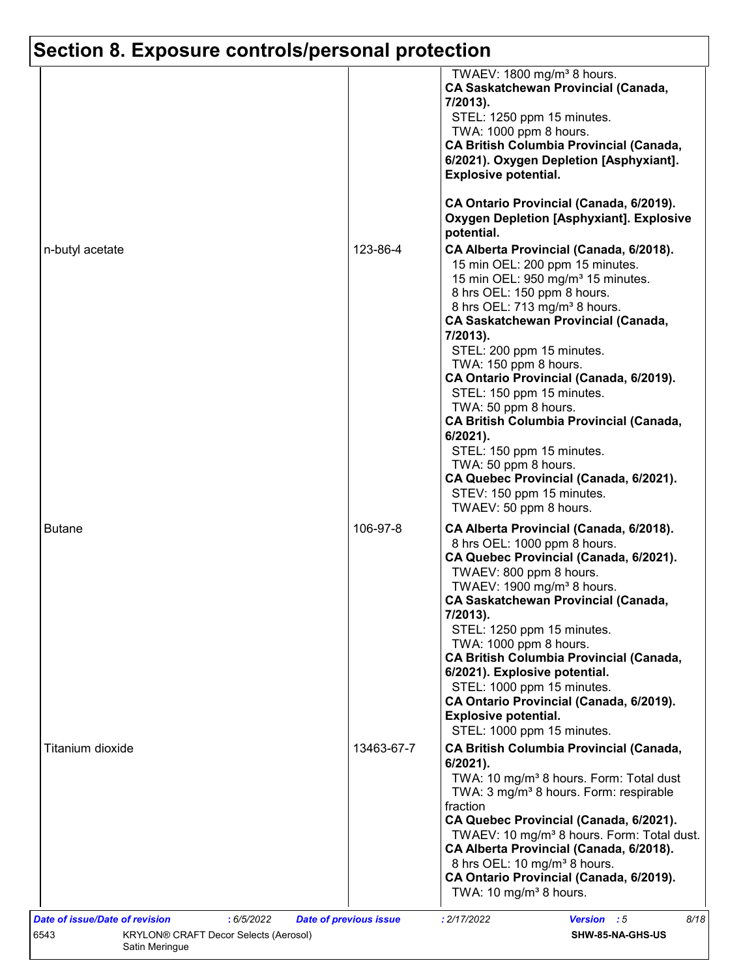# **Section 8. Exposure controls/personal protection**

|                  |            | TWAEV: 1800 mg/m <sup>3</sup> 8 hours.<br><b>CA Saskatchewan Provincial (Canada,</b><br>7/2013).<br>STEL: 1250 ppm 15 minutes.<br>TWA: 1000 ppm 8 hours.<br><b>CA British Columbia Provincial (Canada,</b><br>6/2021). Oxygen Depletion [Asphyxiant].<br><b>Explosive potential.</b>                                                                                                                                    |
|------------------|------------|-------------------------------------------------------------------------------------------------------------------------------------------------------------------------------------------------------------------------------------------------------------------------------------------------------------------------------------------------------------------------------------------------------------------------|
|                  |            | CA Ontario Provincial (Canada, 6/2019).<br><b>Oxygen Depletion [Asphyxiant]. Explosive</b><br>potential.                                                                                                                                                                                                                                                                                                                |
| n-butyl acetate  | 123-86-4   | CA Alberta Provincial (Canada, 6/2018).<br>15 min OEL: 200 ppm 15 minutes.<br>15 min OEL: 950 mg/m <sup>3</sup> 15 minutes.<br>8 hrs OEL: 150 ppm 8 hours.<br>8 hrs OEL: 713 mg/m <sup>3</sup> 8 hours.<br><b>CA Saskatchewan Provincial (Canada,</b><br>7/2013).<br>STEL: 200 ppm 15 minutes.<br>TWA: 150 ppm 8 hours.<br>CA Ontario Provincial (Canada, 6/2019).<br>STEL: 150 ppm 15 minutes.<br>TWA: 50 ppm 8 hours. |
|                  |            | CA British Columbia Provincial (Canada,<br>6/2021).<br>STEL: 150 ppm 15 minutes.<br>TWA: 50 ppm 8 hours.<br>CA Quebec Provincial (Canada, 6/2021).<br>STEV: 150 ppm 15 minutes.<br>TWAEV: 50 ppm 8 hours.                                                                                                                                                                                                               |
| <b>Butane</b>    | 106-97-8   | CA Alberta Provincial (Canada, 6/2018).<br>8 hrs OEL: 1000 ppm 8 hours.<br>CA Quebec Provincial (Canada, 6/2021).<br>TWAEV: 800 ppm 8 hours.<br>TWAEV: 1900 mg/m <sup>3</sup> 8 hours.<br><b>CA Saskatchewan Provincial (Canada,</b><br>7/2013).<br>STEL: 1250 ppm 15 minutes.<br>TWA: 1000 ppm 8 hours.<br><b>CA British Columbia Provincial (Canada,</b><br>6/2021). Explosive potential.                             |
|                  |            | STEL: 1000 ppm 15 minutes.<br>CA Ontario Provincial (Canada, 6/2019).<br><b>Explosive potential.</b><br>STEL: 1000 ppm 15 minutes.                                                                                                                                                                                                                                                                                      |
| Titanium dioxide | 13463-67-7 | <b>CA British Columbia Provincial (Canada,</b><br>6/2021).<br>TWA: 10 mg/m <sup>3</sup> 8 hours. Form: Total dust<br>TWA: 3 mg/m <sup>3</sup> 8 hours. Form: respirable<br>fraction<br>CA Quebec Provincial (Canada, 6/2021).                                                                                                                                                                                           |
|                  |            | TWAEV: 10 mg/m <sup>3</sup> 8 hours. Form: Total dust.<br>CA Alberta Provincial (Canada, 6/2018).<br>8 hrs OEL: 10 mg/m <sup>3</sup> 8 hours.<br>CA Ontario Provincial (Canada, 6/2019).                                                                                                                                                                                                                                |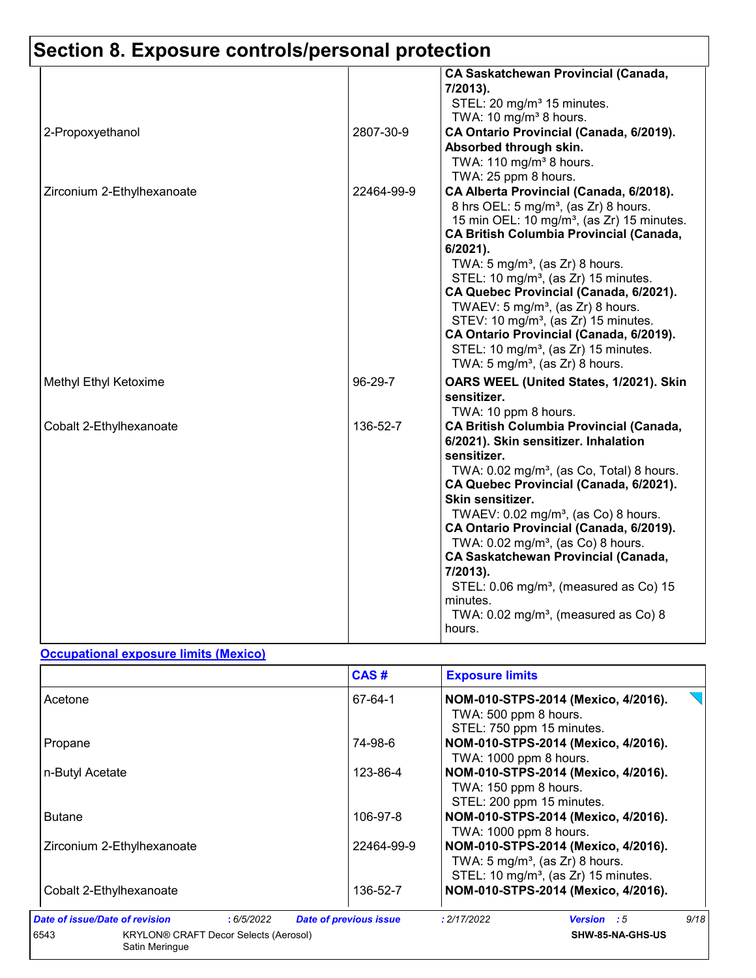# **Section 8. Exposure controls/personal protection**

|                            |            | <b>CA Saskatchewan Provincial (Canada,</b><br>7/2013).<br>STEL: 20 mg/m <sup>3</sup> 15 minutes.<br>TWA: 10 mg/m <sup>3</sup> 8 hours.                                                                                                                                                                                                                                                                                                                                                                                                                                                                            |
|----------------------------|------------|-------------------------------------------------------------------------------------------------------------------------------------------------------------------------------------------------------------------------------------------------------------------------------------------------------------------------------------------------------------------------------------------------------------------------------------------------------------------------------------------------------------------------------------------------------------------------------------------------------------------|
| 2-Propoxyethanol           | 2807-30-9  | CA Ontario Provincial (Canada, 6/2019).<br>Absorbed through skin.<br>TWA: 110 mg/m <sup>3</sup> 8 hours.<br>TWA: 25 ppm 8 hours.                                                                                                                                                                                                                                                                                                                                                                                                                                                                                  |
| Zirconium 2-Ethylhexanoate | 22464-99-9 | CA Alberta Provincial (Canada, 6/2018).<br>8 hrs OEL: 5 mg/m <sup>3</sup> , (as Zr) 8 hours.<br>15 min OEL: 10 mg/m <sup>3</sup> , (as Zr) 15 minutes.<br><b>CA British Columbia Provincial (Canada,</b><br>6/2021).<br>TWA: $5 \text{ mg/m}^3$ , (as Zr) 8 hours.<br>STEL: 10 mg/m <sup>3</sup> , (as Zr) 15 minutes.<br>CA Quebec Provincial (Canada, 6/2021).<br>TWAEV: $5 \text{ mg/m}^3$ , (as Zr) 8 hours.<br>STEV: 10 mg/m <sup>3</sup> , (as Zr) 15 minutes.<br>CA Ontario Provincial (Canada, 6/2019).<br>STEL: 10 mg/m <sup>3</sup> , (as Zr) 15 minutes.<br>TWA: $5 \text{ mg/m}^3$ , (as Zr) 8 hours. |
| Methyl Ethyl Ketoxime      | 96-29-7    | OARS WEEL (United States, 1/2021). Skin<br>sensitizer.<br>TWA: 10 ppm 8 hours.                                                                                                                                                                                                                                                                                                                                                                                                                                                                                                                                    |
| Cobalt 2-Ethylhexanoate    | 136-52-7   | <b>CA British Columbia Provincial (Canada,</b><br>6/2021). Skin sensitizer. Inhalation<br>sensitizer.<br>TWA: 0.02 mg/m <sup>3</sup> , (as Co, Total) 8 hours.<br>CA Quebec Provincial (Canada, 6/2021).<br>Skin sensitizer.<br>TWAEV: $0.02$ mg/m <sup>3</sup> , (as Co) 8 hours.<br>CA Ontario Provincial (Canada, 6/2019).<br>TWA: 0.02 mg/m <sup>3</sup> , (as Co) 8 hours.<br><b>CA Saskatchewan Provincial (Canada,</b><br>7/2013).<br>STEL: 0.06 mg/m <sup>3</sup> , (measured as Co) 15<br>minutes.<br>TWA: $0.02$ mg/m <sup>3</sup> , (measured as Co) 8<br>hours.                                       |

#### **Occupational exposure limits (Mexico)**

|                                                                        | CAS#                          | <b>Exposure limits</b>                                                                                                                |
|------------------------------------------------------------------------|-------------------------------|---------------------------------------------------------------------------------------------------------------------------------------|
| Acetone                                                                | 67-64-1                       | NOM-010-STPS-2014 (Mexico, 4/2016).<br>TWA: 500 ppm 8 hours.<br>STEL: 750 ppm 15 minutes.                                             |
| Propane                                                                | 74-98-6                       | NOM-010-STPS-2014 (Mexico, 4/2016).<br>TWA: 1000 ppm 8 hours.                                                                         |
| n-Butyl Acetate                                                        | 123-86-4                      | NOM-010-STPS-2014 (Mexico, 4/2016).<br>TWA: 150 ppm 8 hours.<br>STEL: 200 ppm 15 minutes.                                             |
| <b>Butane</b>                                                          | 106-97-8                      | NOM-010-STPS-2014 (Mexico, 4/2016).<br>TWA: 1000 ppm 8 hours.                                                                         |
| Zirconium 2-Ethylhexanoate                                             | 22464-99-9                    | NOM-010-STPS-2014 (Mexico, 4/2016).<br>TWA: $5 \text{ mg/m}^3$ , (as Zr) 8 hours.<br>STEL: 10 mg/m <sup>3</sup> , (as Zr) 15 minutes. |
| Cobalt 2-Ethylhexanoate                                                | 136-52-7                      | NOM-010-STPS-2014 (Mexico, 4/2016).                                                                                                   |
| Date of issue/Date of revision<br>:6/5/2022                            | <b>Date of previous issue</b> | 9/18<br>: 2/17/2022<br><b>Version</b> : 5                                                                                             |
| 6543<br><b>KRYLON® CRAFT Decor Selects (Aerosol)</b><br>Satin Meringue |                               | SHW-85-NA-GHS-US                                                                                                                      |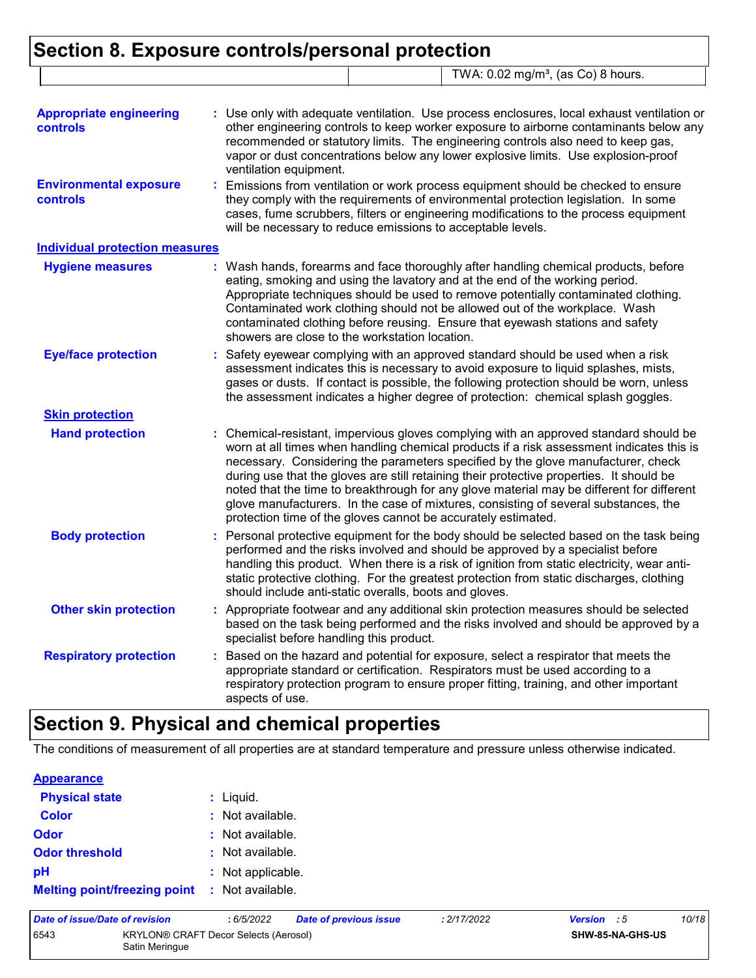### **Section 8. Exposure controls/personal protection** TWA: 0.02 mg/m<sup>3</sup>, (as Co) 8 hours.

| <b>Appropriate engineering</b><br><b>controls</b><br><b>Environmental exposure</b><br>controls | : Use only with adequate ventilation. Use process enclosures, local exhaust ventilation or<br>other engineering controls to keep worker exposure to airborne contaminants below any<br>recommended or statutory limits. The engineering controls also need to keep gas,<br>vapor or dust concentrations below any lower explosive limits. Use explosion-proof<br>ventilation equipment.<br>: Emissions from ventilation or work process equipment should be checked to ensure<br>they comply with the requirements of environmental protection legislation. In some<br>cases, fume scrubbers, filters or engineering modifications to the process equipment<br>will be necessary to reduce emissions to acceptable levels. |
|------------------------------------------------------------------------------------------------|----------------------------------------------------------------------------------------------------------------------------------------------------------------------------------------------------------------------------------------------------------------------------------------------------------------------------------------------------------------------------------------------------------------------------------------------------------------------------------------------------------------------------------------------------------------------------------------------------------------------------------------------------------------------------------------------------------------------------|
| <b>Individual protection measures</b>                                                          |                                                                                                                                                                                                                                                                                                                                                                                                                                                                                                                                                                                                                                                                                                                            |
| <b>Hygiene measures</b>                                                                        | : Wash hands, forearms and face thoroughly after handling chemical products, before<br>eating, smoking and using the lavatory and at the end of the working period.<br>Appropriate techniques should be used to remove potentially contaminated clothing.<br>Contaminated work clothing should not be allowed out of the workplace. Wash<br>contaminated clothing before reusing. Ensure that eyewash stations and safety<br>showers are close to the workstation location.                                                                                                                                                                                                                                                |
| <b>Eye/face protection</b>                                                                     | Safety eyewear complying with an approved standard should be used when a risk<br>assessment indicates this is necessary to avoid exposure to liquid splashes, mists,<br>gases or dusts. If contact is possible, the following protection should be worn, unless<br>the assessment indicates a higher degree of protection: chemical splash goggles.                                                                                                                                                                                                                                                                                                                                                                        |
| <b>Skin protection</b>                                                                         |                                                                                                                                                                                                                                                                                                                                                                                                                                                                                                                                                                                                                                                                                                                            |
| <b>Hand protection</b>                                                                         | : Chemical-resistant, impervious gloves complying with an approved standard should be<br>worn at all times when handling chemical products if a risk assessment indicates this is<br>necessary. Considering the parameters specified by the glove manufacturer, check<br>during use that the gloves are still retaining their protective properties. It should be<br>noted that the time to breakthrough for any glove material may be different for different<br>glove manufacturers. In the case of mixtures, consisting of several substances, the<br>protection time of the gloves cannot be accurately estimated.                                                                                                     |
| <b>Body protection</b>                                                                         | : Personal protective equipment for the body should be selected based on the task being<br>performed and the risks involved and should be approved by a specialist before<br>handling this product. When there is a risk of ignition from static electricity, wear anti-<br>static protective clothing. For the greatest protection from static discharges, clothing<br>should include anti-static overalls, boots and gloves.                                                                                                                                                                                                                                                                                             |
| <b>Other skin protection</b>                                                                   | : Appropriate footwear and any additional skin protection measures should be selected<br>based on the task being performed and the risks involved and should be approved by a<br>specialist before handling this product.                                                                                                                                                                                                                                                                                                                                                                                                                                                                                                  |
| <b>Respiratory protection</b>                                                                  | : Based on the hazard and potential for exposure, select a respirator that meets the<br>appropriate standard or certification. Respirators must be used according to a<br>respiratory protection program to ensure proper fitting, training, and other important<br>aspects of use.                                                                                                                                                                                                                                                                                                                                                                                                                                        |

## **Section 9. Physical and chemical properties**

The conditions of measurement of all properties are at standard temperature and pressure unless otherwise indicated.

| <b>Appearance</b>                   |                   |
|-------------------------------------|-------------------|
| <b>Physical state</b>               | $:$ Liquid.       |
| <b>Color</b>                        | : Not available.  |
| Odor                                | : Not available.  |
| <b>Odor threshold</b>               | : Not available.  |
| рH                                  | : Not applicable. |
| <b>Melting point/freezing point</b> | : Not available.  |

| Date of issue/Date of revision |                                                         | : 6/5/2022 | Date of previous issue | : 2/17/2022 | Version : 5 |                         | 10/18 |
|--------------------------------|---------------------------------------------------------|------------|------------------------|-------------|-------------|-------------------------|-------|
| 6543                           | KRYLON® CRAFT Decor Selects (Aerosol)<br>Satin Meringue |            |                        |             |             | <b>SHW-85-NA-GHS-US</b> |       |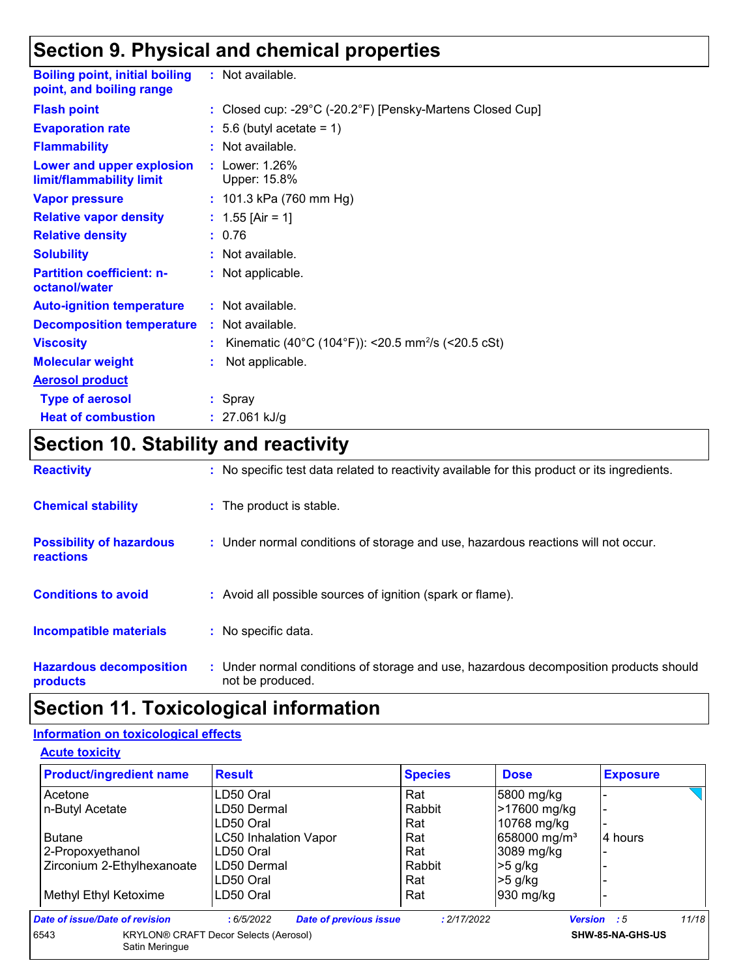## **Section 9. Physical and chemical properties**

| <b>Boiling point, initial boiling</b><br>point, and boiling range | : Not available.                                                                |
|-------------------------------------------------------------------|---------------------------------------------------------------------------------|
| <b>Flash point</b>                                                | : Closed cup: -29 $^{\circ}$ C (-20.2 $^{\circ}$ F) [Pensky-Martens Closed Cup] |
| <b>Evaporation rate</b>                                           | $: 5.6$ (butyl acetate = 1)                                                     |
| <b>Flammability</b>                                               | $:$ Not available.                                                              |
| Lower and upper explosion<br>limit/flammability limit             | : Lower: 1.26%<br>Upper: 15.8%                                                  |
| <b>Vapor pressure</b>                                             | : $101.3$ kPa (760 mm Hg)                                                       |
| <b>Relative vapor density</b>                                     | : $1.55$ [Air = 1]                                                              |
| <b>Relative density</b>                                           | : 0.76                                                                          |
| <b>Solubility</b>                                                 | : Not available.                                                                |
| <b>Partition coefficient: n-</b><br>octanol/water                 | : Not applicable.                                                               |
| <b>Auto-ignition temperature</b>                                  | $:$ Not available.                                                              |
| <b>Decomposition temperature</b>                                  | : Not available.                                                                |
| <b>Viscosity</b>                                                  | Kinematic (40°C (104°F)): <20.5 mm <sup>2</sup> /s (<20.5 cSt)                  |
| <b>Molecular weight</b>                                           | Not applicable.                                                                 |
| <b>Aerosol product</b>                                            |                                                                                 |
| <b>Type of aerosol</b>                                            | : Spray                                                                         |
| <b>Heat of combustion</b>                                         | : $27.061$ kJ/g                                                                 |

# **Section 10. Stability and reactivity**

| <b>Reactivity</b>                                   | : No specific test data related to reactivity available for this product or its ingredients.              |
|-----------------------------------------------------|-----------------------------------------------------------------------------------------------------------|
| <b>Chemical stability</b>                           | : The product is stable.                                                                                  |
| <b>Possibility of hazardous</b><br><b>reactions</b> | : Under normal conditions of storage and use, hazardous reactions will not occur.                         |
| <b>Conditions to avoid</b>                          | : Avoid all possible sources of ignition (spark or flame).                                                |
| <b>Incompatible materials</b>                       | : No specific data.                                                                                       |
| <b>Hazardous decomposition</b><br>products          | : Under normal conditions of storage and use, hazardous decomposition products should<br>not be produced. |

## **Section 11. Toxicological information**

#### **Information on toxicological effects**

**Acute toxicity**

| <b>Product/ingredient name</b> | <b>Result</b>                                | <b>Species</b> | <b>Dose</b>              | <b>Exposure</b>             |
|--------------------------------|----------------------------------------------|----------------|--------------------------|-----------------------------|
| Acetone                        | LD50 Oral                                    | Rat            | 5800 mg/kg               |                             |
| n-Butyl Acetate                | LD50 Dermal                                  | Rabbit         | >17600 mg/kg             |                             |
|                                | LD50 Oral                                    | Rat            | 10768 mg/kg              |                             |
| <b>Butane</b>                  | <b>LC50 Inhalation Vapor</b>                 | Rat            | 658000 mg/m <sup>3</sup> | 4 hours                     |
| 2-Propoxyethanol               | LD50 Oral                                    | Rat            | 3089 mg/kg               |                             |
| Zirconium 2-Ethylhexanoate     | LD50 Dermal                                  | Rabbit         | $>5$ g/kg                |                             |
|                                | LD50 Oral                                    | Rat            | $>5$ g/kg                |                             |
| Methyl Ethyl Ketoxime          | LD50 Oral                                    | Rat            | 930 mg/kg                |                             |
| Date of issue/Date of revision | <b>Date of previous issue</b><br>:6/5/2022   | : 2/17/2022    |                          | 11/18<br><b>Version</b> : 5 |
| 6543<br>Satin Meringue         | <b>KRYLON® CRAFT Decor Selects (Aerosol)</b> |                |                          | SHW-85-NA-GHS-US            |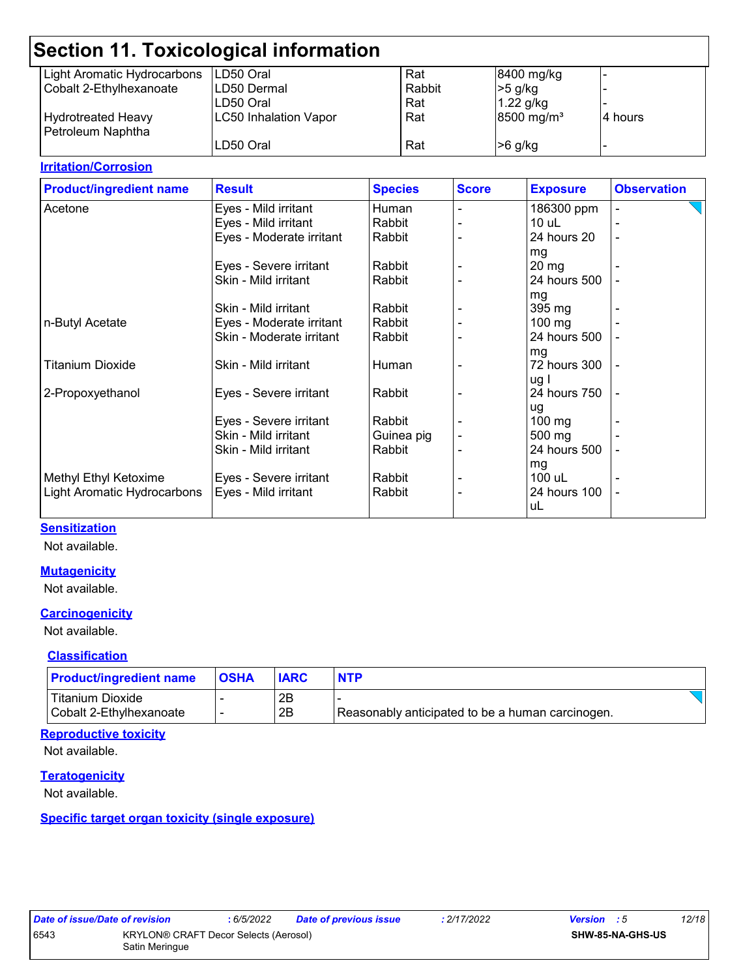|                             | Section 11. Toxicological information |        |                        |                          |
|-----------------------------|---------------------------------------|--------|------------------------|--------------------------|
| Light Aromatic Hydrocarbons | LD50 Oral                             | Rat    | 8400 mg/kg             | $\overline{\phantom{0}}$ |
| Cobalt 2-Ethylhexanoate     | LD50 Dermal                           | Rabbit | $>5$ g/kg              |                          |
|                             | LD50 Oral                             | Rat    | $1.22$ g/kg            |                          |
| <b>Hydrotreated Heavy</b>   | <b>LC50 Inhalation Vapor</b>          | Rat    | 8500 mg/m <sup>3</sup> | 4 hours                  |
| Petroleum Naphtha           |                                       |        |                        |                          |
|                             | LD50 Oral                             | Rat    | $>6$ g/kg              | $\overline{\phantom{0}}$ |
|                             |                                       |        |                        |                          |

#### **Irritation/Corrosion**

| <b>Product/ingredient name</b> | <b>Result</b>            | <b>Species</b> | <b>Score</b> | <b>Exposure</b>    | <b>Observation</b>       |
|--------------------------------|--------------------------|----------------|--------------|--------------------|--------------------------|
| Acetone                        | Eyes - Mild irritant     | Human          |              | 186300 ppm         |                          |
|                                | Eyes - Mild irritant     | Rabbit         |              | $10$ uL            |                          |
|                                | Eyes - Moderate irritant | Rabbit         |              | 24 hours 20        | $\overline{\phantom{a}}$ |
|                                |                          |                |              | mg                 |                          |
|                                | Eyes - Severe irritant   | Rabbit         |              | $20 \,\mathrm{mg}$ |                          |
|                                | Skin - Mild irritant     | Rabbit         |              | 24 hours 500       |                          |
|                                |                          |                |              | mg                 |                          |
|                                | Skin - Mild irritant     | Rabbit         |              | 395 mg             |                          |
| n-Butyl Acetate                | Eyes - Moderate irritant | Rabbit         |              | $100$ mg           |                          |
|                                | Skin - Moderate irritant | Rabbit         |              | 24 hours 500       |                          |
|                                |                          |                |              | mg                 |                          |
| <b>Titanium Dioxide</b>        | Skin - Mild irritant     | Human          |              | 72 hours 300       |                          |
|                                |                          |                |              | ug I               |                          |
| 2-Propoxyethanol               | Eyes - Severe irritant   | Rabbit         |              | 24 hours 750       |                          |
|                                |                          |                |              | ug                 |                          |
|                                | Eyes - Severe irritant   | Rabbit         |              | $100 \text{ mg}$   |                          |
|                                | Skin - Mild irritant     | Guinea pig     |              | 500 mg             |                          |
|                                | Skin - Mild irritant     | Rabbit         |              | 24 hours 500       |                          |
|                                |                          |                |              | mg                 |                          |
| Methyl Ethyl Ketoxime          | Eyes - Severe irritant   | Rabbit         |              | 100 uL             |                          |
| Light Aromatic Hydrocarbons    | Eyes - Mild irritant     | Rabbit         |              | 24 hours 100       |                          |
|                                |                          |                |              | uL                 |                          |
|                                |                          |                |              |                    |                          |

#### **Sensitization**

Not available.

#### **Mutagenicity**

Not available.

#### **Carcinogenicity**

Not available.

#### **Classification**

| <b>Product/ingredient name</b> | <b>IOSHA</b> |    | <b>NTP</b>                                       |  |
|--------------------------------|--------------|----|--------------------------------------------------|--|
| <b>Titanium Dioxide</b>        |              | 2B |                                                  |  |
| Cobalt 2-Ethylhexanoate        |              | 2B | Reasonably anticipated to be a human carcinogen. |  |

#### **Reproductive toxicity**

Not available.

#### **Teratogenicity**

Not available.

#### **Specific target organ toxicity (single exposure)**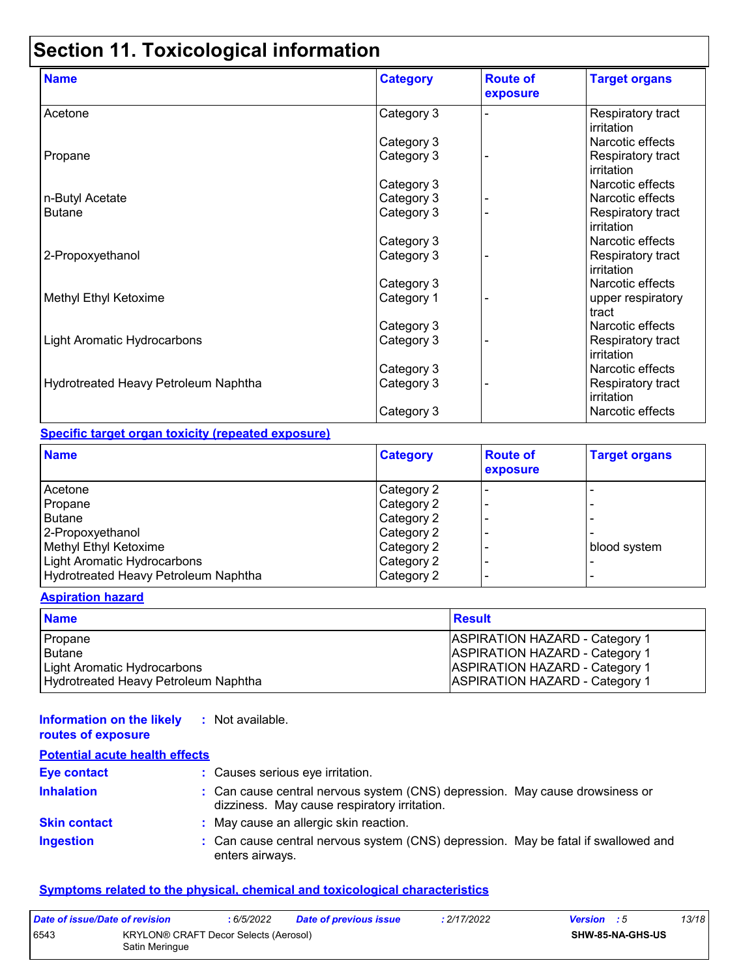# **Section 11. Toxicological information**

| <b>Name</b>                          | <b>Category</b> | <b>Route of</b><br>exposure | <b>Target organs</b>            |
|--------------------------------------|-----------------|-----------------------------|---------------------------------|
| Acetone                              | Category 3      |                             | Respiratory tract<br>irritation |
|                                      | Category 3      |                             | Narcotic effects                |
| Propane                              | Category 3      |                             | Respiratory tract<br>irritation |
|                                      | Category 3      |                             | Narcotic effects                |
| n-Butyl Acetate                      | Category 3      |                             | Narcotic effects                |
| <b>Butane</b>                        | Category 3      |                             | Respiratory tract<br>irritation |
|                                      | Category 3      |                             | Narcotic effects                |
| 2-Propoxyethanol                     | Category 3      |                             | Respiratory tract<br>irritation |
|                                      | Category 3      |                             | Narcotic effects                |
| Methyl Ethyl Ketoxime                | Category 1      |                             | upper respiratory<br>tract      |
|                                      | Category 3      |                             | Narcotic effects                |
| Light Aromatic Hydrocarbons          | Category 3      |                             | Respiratory tract<br>irritation |
|                                      | Category 3      |                             | Narcotic effects                |
| Hydrotreated Heavy Petroleum Naphtha | Category 3      |                             | Respiratory tract<br>irritation |
|                                      | Category 3      |                             | Narcotic effects                |

#### **Specific target organ toxicity (repeated exposure)**

| <b>Name</b>                          | <b>Category</b> | <b>Route of</b><br>exposure | <b>Target organs</b> |
|--------------------------------------|-----------------|-----------------------------|----------------------|
| Acetone                              | Category 2      |                             |                      |
| Propane                              | Category 2      |                             |                      |
| <b>Butane</b>                        | Category 2      |                             |                      |
| 2-Propoxyethanol                     | Category 2      |                             |                      |
| Methyl Ethyl Ketoxime                | Category 2      |                             | blood system         |
| Light Aromatic Hydrocarbons          | Category 2      |                             |                      |
| Hydrotreated Heavy Petroleum Naphtha | Category 2      |                             |                      |

#### **Aspiration hazard**

| <b>Name</b>                          | <b>Result</b>                         |
|--------------------------------------|---------------------------------------|
| Propane                              | <b>ASPIRATION HAZARD - Category 1</b> |
| l Butane                             | <b>ASPIRATION HAZARD - Category 1</b> |
| Light Aromatic Hydrocarbons          | <b>ASPIRATION HAZARD - Category 1</b> |
| Hydrotreated Heavy Petroleum Naphtha | <b>ASPIRATION HAZARD - Category 1</b> |

#### **Information on the likely :** Not available. **routes of exposure**

| <b>Potential acute health effects</b> |                                                                                                                              |
|---------------------------------------|------------------------------------------------------------------------------------------------------------------------------|
| <b>Eye contact</b>                    | : Causes serious eye irritation.                                                                                             |
| <b>Inhalation</b>                     | : Can cause central nervous system (CNS) depression. May cause drowsiness or<br>dizziness. May cause respiratory irritation. |
| <b>Skin contact</b>                   | : May cause an allergic skin reaction.                                                                                       |
| <b>Ingestion</b>                      | : Can cause central nervous system (CNS) depression. May be fatal if swallowed and<br>enters airways.                        |

#### **Symptoms related to the physical, chemical and toxicological characteristics**

| Date of issue/Date of revision                                  |  | : 6/5/2022 | <b>Date of previous issue</b> | : 2/17/2022 | <b>Version</b> : 5 |                         | 13/18 |
|-----------------------------------------------------------------|--|------------|-------------------------------|-------------|--------------------|-------------------------|-------|
| 6543<br>KRYLON® CRAFT Decor Selects (Aerosol)<br>Satin Meringue |  |            |                               |             |                    | <b>SHW-85-NA-GHS-US</b> |       |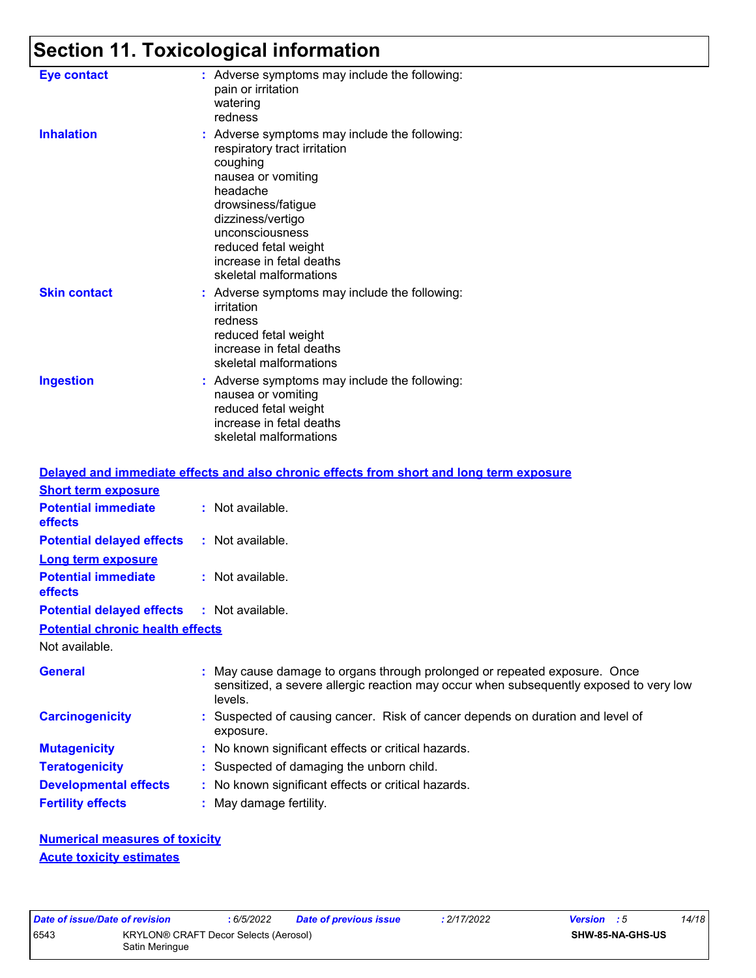# **Section 11. Toxicological information**

| <b>Eye contact</b>  | : Adverse symptoms may include the following:<br>pain or irritation<br>watering<br>redness                                                                                                                                                                              |
|---------------------|-------------------------------------------------------------------------------------------------------------------------------------------------------------------------------------------------------------------------------------------------------------------------|
| <b>Inhalation</b>   | : Adverse symptoms may include the following:<br>respiratory tract irritation<br>coughing<br>nausea or vomiting<br>headache<br>drowsiness/fatigue<br>dizziness/vertigo<br>unconsciousness<br>reduced fetal weight<br>increase in fetal deaths<br>skeletal malformations |
| <b>Skin contact</b> | : Adverse symptoms may include the following:<br>irritation<br>redness<br>reduced fetal weight<br>increase in fetal deaths<br>skeletal malformations                                                                                                                    |
| <b>Ingestion</b>    | : Adverse symptoms may include the following:<br>nausea or vomiting<br>reduced fetal weight<br>increase in fetal deaths<br>skeletal malformations                                                                                                                       |

|                                                   |                         | Delayed and immediate effects and also chronic effects from short and long term exposure                                                                            |
|---------------------------------------------------|-------------------------|---------------------------------------------------------------------------------------------------------------------------------------------------------------------|
| <b>Short term exposure</b>                        |                         |                                                                                                                                                                     |
| <b>Potential immediate</b><br>effects             | : Not available.        |                                                                                                                                                                     |
| <b>Potential delayed effects</b>                  | $:$ Not available.      |                                                                                                                                                                     |
| <b>Long term exposure</b>                         |                         |                                                                                                                                                                     |
| <b>Potential immediate</b><br>effects             | : Not available.        |                                                                                                                                                                     |
| <b>Potential delayed effects : Not available.</b> |                         |                                                                                                                                                                     |
| <b>Potential chronic health effects</b>           |                         |                                                                                                                                                                     |
| Not available.                                    |                         |                                                                                                                                                                     |
| <b>General</b>                                    | levels.                 | : May cause damage to organs through prolonged or repeated exposure. Once<br>sensitized, a severe allergic reaction may occur when subsequently exposed to very low |
| <b>Carcinogenicity</b>                            | exposure.               | : Suspected of causing cancer. Risk of cancer depends on duration and level of                                                                                      |
| <b>Mutagenicity</b>                               |                         | : No known significant effects or critical hazards.                                                                                                                 |
| <b>Teratogenicity</b>                             |                         | : Suspected of damaging the unborn child.                                                                                                                           |
| <b>Developmental effects</b>                      |                         | : No known significant effects or critical hazards.                                                                                                                 |
| <b>Fertility effects</b>                          | : May damage fertility. |                                                                                                                                                                     |

**Numerical measures of toxicity Acute toxicity estimates**

|      | Date of <i>issue/Date of revision</i> | :6/5/2022                                    | Dat |
|------|---------------------------------------|----------------------------------------------|-----|
| 6543 | Satin Meringue                        | <b>KRYLON® CRAFT Decor Selects (Aerosol)</b> |     |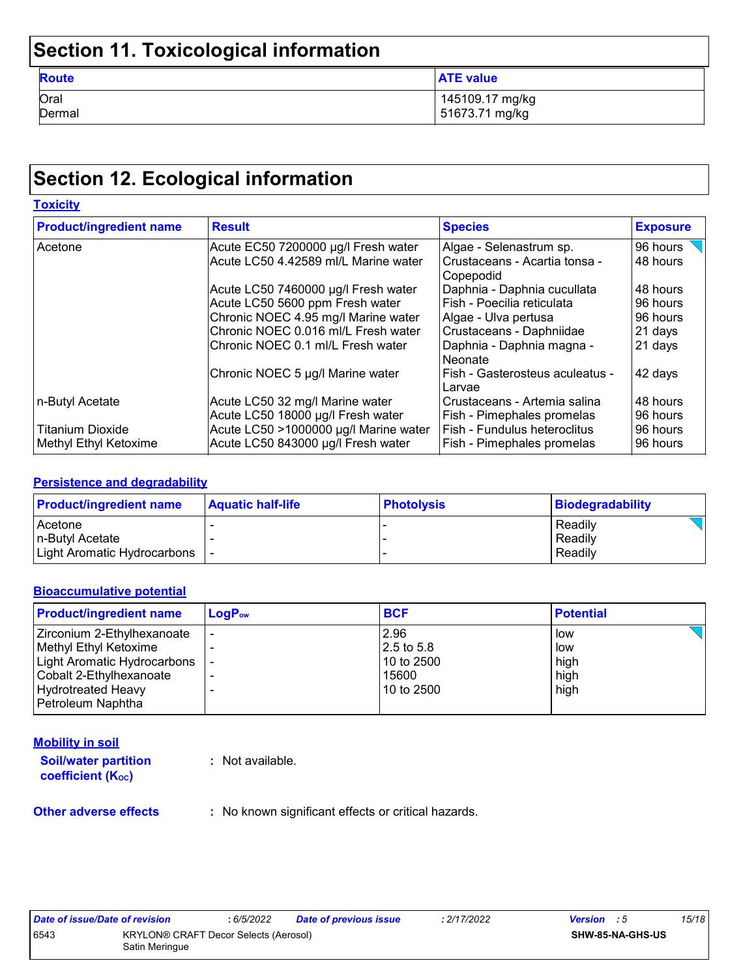# **Section 11. Toxicological information**

| <b>Route</b> | <b>ATE value</b> |
|--------------|------------------|
| Oral         | 145109.17 mg/kg  |
| Dermal       | 51673.71 mg/kg   |

# **Section 12. Ecological information**

| <b>Toxicity</b>                |                                       |                                                |                 |  |  |
|--------------------------------|---------------------------------------|------------------------------------------------|-----------------|--|--|
| <b>Product/ingredient name</b> | <b>Result</b>                         | <b>Species</b>                                 | <b>Exposure</b> |  |  |
| Acetone                        | Acute EC50 7200000 µg/l Fresh water   | Algae - Selenastrum sp.                        | 96 hours        |  |  |
|                                | Acute LC50 4.42589 ml/L Marine water  | l Crustaceans - Acartia tonsa -<br>l Copepodid | 48 hours        |  |  |
|                                | Acute LC50 7460000 µg/l Fresh water   | Daphnia - Daphnia cucullata                    | 48 hours        |  |  |
|                                | Acute LC50 5600 ppm Fresh water       | Fish - Poecilia reticulata                     | 96 hours        |  |  |
|                                | Chronic NOEC 4.95 mg/l Marine water   | Algae - Ulva pertusa                           | 96 hours        |  |  |
|                                | Chronic NOEC 0.016 ml/L Fresh water   | Crustaceans - Daphniidae                       | 21 days         |  |  |
|                                | Chronic NOEC 0.1 ml/L Fresh water     | Daphnia - Daphnia magna -<br>l Neonate         | 21 days         |  |  |
|                                | Chronic NOEC 5 µg/l Marine water      | Fish - Gasterosteus aculeatus -<br>Larvae      | 42 days         |  |  |
| n-Butyl Acetate                | Acute LC50 32 mg/l Marine water       | Crustaceans - Artemia salina                   | 48 hours        |  |  |
|                                | Acute LC50 18000 µg/l Fresh water     | Fish - Pimephales promelas                     | 96 hours        |  |  |
| <b>Titanium Dioxide</b>        | Acute LC50 >1000000 µg/l Marine water | Fish - Fundulus heteroclitus                   | 96 hours        |  |  |
| Methyl Ethyl Ketoxime          | Acute LC50 843000 µg/l Fresh water    | Fish - Pimephales promelas                     | 96 hours        |  |  |

#### **Persistence and degradability**

| <b>Product/ingredient name</b>  | <b>Aquatic half-life</b> | <b>Photolysis</b> | Biodegradability |
|---------------------------------|--------------------------|-------------------|------------------|
| Acetone                         |                          |                   | Readily          |
| In-Butvl Acetate                |                          |                   | Readily          |
| Light Aromatic Hydrocarbons   - |                          |                   | Readily          |

#### **Bioaccumulative potential**

| <b>Product/ingredient name</b> | $LogP_{ow}$ | <b>BCF</b> | <b>Potential</b> |
|--------------------------------|-------------|------------|------------------|
| Zirconium 2-Ethylhexanoate     |             | 2.96       | low              |
| Methyl Ethyl Ketoxime          |             | 2.5 to 5.8 | low              |
| Light Aromatic Hydrocarbons    |             | 10 to 2500 | high             |
| Cobalt 2-Ethylhexanoate        |             | 15600      | high             |
| <b>Hydrotreated Heavy</b>      | -           | 10 to 2500 | high             |
| Petroleum Naphtha              |             |            |                  |

#### **Mobility in soil**

**Soil/water partition coefficient (KOC) :** Not available.

**Other adverse effects** : No known significant effects or critical hazards.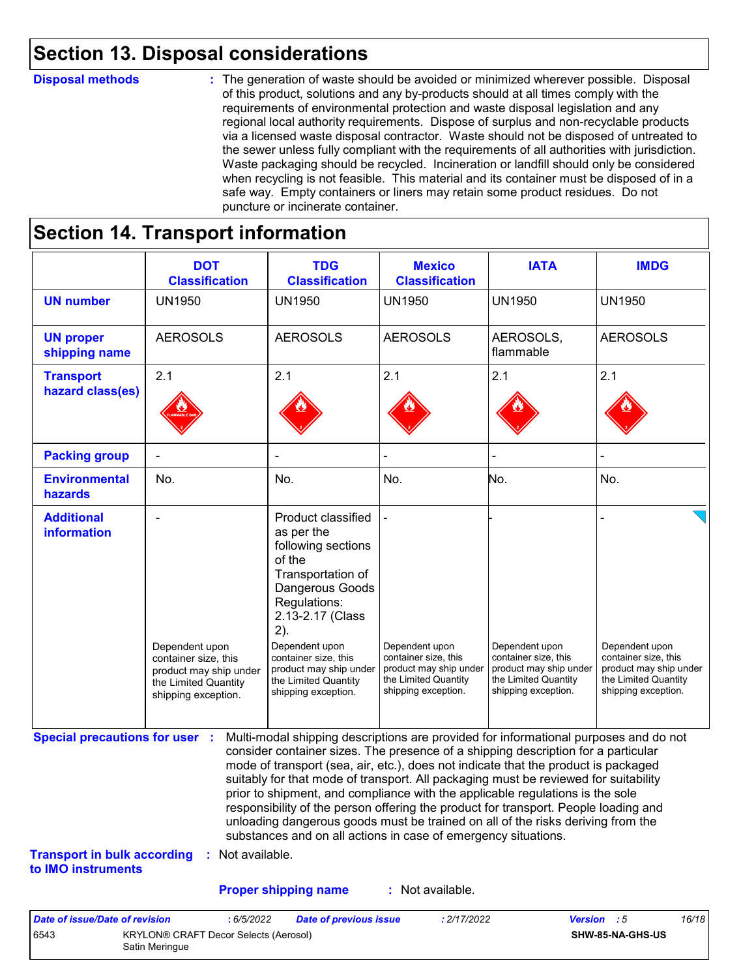### **Section 13. Disposal considerations**

#### **Disposal methods :**

The generation of waste should be avoided or minimized wherever possible. Disposal of this product, solutions and any by-products should at all times comply with the requirements of environmental protection and waste disposal legislation and any regional local authority requirements. Dispose of surplus and non-recyclable products via a licensed waste disposal contractor. Waste should not be disposed of untreated to the sewer unless fully compliant with the requirements of all authorities with jurisdiction. Waste packaging should be recycled. Incineration or landfill should only be considered when recycling is not feasible. This material and its container must be disposed of in a safe way. Empty containers or liners may retain some product residues. Do not puncture or incinerate container.

# **Section 14. Transport information**

6543 KRYLON® CRAFT Decor Selects (Aerosol) Satin Meringue

|                                                                             | <b>DOT</b><br><b>Classification</b>                                                                             | <b>TDG</b><br><b>Classification</b>                                                                                                                                                                                                                                                                                                                                                                                                                                                                                                                                                                                                                                                 | <b>Mexico</b><br><b>Classification</b>                                                                          | <b>IATA</b>                                                                                                     | <b>IMDG</b>                                                                                                     |
|-----------------------------------------------------------------------------|-----------------------------------------------------------------------------------------------------------------|-------------------------------------------------------------------------------------------------------------------------------------------------------------------------------------------------------------------------------------------------------------------------------------------------------------------------------------------------------------------------------------------------------------------------------------------------------------------------------------------------------------------------------------------------------------------------------------------------------------------------------------------------------------------------------------|-----------------------------------------------------------------------------------------------------------------|-----------------------------------------------------------------------------------------------------------------|-----------------------------------------------------------------------------------------------------------------|
| <b>UN number</b>                                                            | <b>UN1950</b>                                                                                                   | <b>UN1950</b>                                                                                                                                                                                                                                                                                                                                                                                                                                                                                                                                                                                                                                                                       | <b>UN1950</b>                                                                                                   | <b>UN1950</b>                                                                                                   | <b>UN1950</b>                                                                                                   |
| <b>UN proper</b><br>shipping name                                           | <b>AEROSOLS</b>                                                                                                 | <b>AEROSOLS</b>                                                                                                                                                                                                                                                                                                                                                                                                                                                                                                                                                                                                                                                                     | <b>AEROSOLS</b>                                                                                                 | AEROSOLS,<br>flammable                                                                                          | <b>AEROSOLS</b>                                                                                                 |
| <b>Transport</b><br>hazard class(es)                                        | 2.1                                                                                                             | 2.1                                                                                                                                                                                                                                                                                                                                                                                                                                                                                                                                                                                                                                                                                 | 2.1                                                                                                             | 2.1                                                                                                             | 2.1                                                                                                             |
| <b>Packing group</b>                                                        |                                                                                                                 |                                                                                                                                                                                                                                                                                                                                                                                                                                                                                                                                                                                                                                                                                     |                                                                                                                 |                                                                                                                 |                                                                                                                 |
| <b>Environmental</b><br>hazards                                             | No.                                                                                                             | No.                                                                                                                                                                                                                                                                                                                                                                                                                                                                                                                                                                                                                                                                                 | No.                                                                                                             | No.                                                                                                             | No.                                                                                                             |
| <b>Additional</b><br>information                                            | Dependent upon<br>container size, this<br>product may ship under<br>the Limited Quantity<br>shipping exception. | <b>Product classified</b><br>as per the<br>following sections<br>of the<br>Transportation of<br>Dangerous Goods<br>Regulations:<br>2.13-2.17 (Class<br>2).<br>Dependent upon<br>container size, this<br>product may ship under<br>the Limited Quantity<br>shipping exception.                                                                                                                                                                                                                                                                                                                                                                                                       | Dependent upon<br>container size, this<br>product may ship under<br>the Limited Quantity<br>shipping exception. | Dependent upon<br>container size, this<br>product may ship under<br>the Limited Quantity<br>shipping exception. | Dependent upon<br>container size, this<br>product may ship under<br>the Limited Quantity<br>shipping exception. |
| <b>Special precautions for user :</b><br><b>Transport in bulk according</b> | : Not available.                                                                                                | Multi-modal shipping descriptions are provided for informational purposes and do not<br>consider container sizes. The presence of a shipping description for a particular<br>mode of transport (sea, air, etc.), does not indicate that the product is packaged<br>suitably for that mode of transport. All packaging must be reviewed for suitability<br>prior to shipment, and compliance with the applicable regulations is the sole<br>responsibility of the person offering the product for transport. People loading and<br>unloading dangerous goods must be trained on all of the risks deriving from the<br>substances and on all actions in case of emergency situations. |                                                                                                                 |                                                                                                                 |                                                                                                                 |
| to IMO instruments                                                          |                                                                                                                 |                                                                                                                                                                                                                                                                                                                                                                                                                                                                                                                                                                                                                                                                                     |                                                                                                                 |                                                                                                                 |                                                                                                                 |
|                                                                             |                                                                                                                 | <b>Proper shipping name</b>                                                                                                                                                                                                                                                                                                                                                                                                                                                                                                                                                                                                                                                         | : Not available.                                                                                                |                                                                                                                 |                                                                                                                 |

**SHW-85-NA-GHS-US**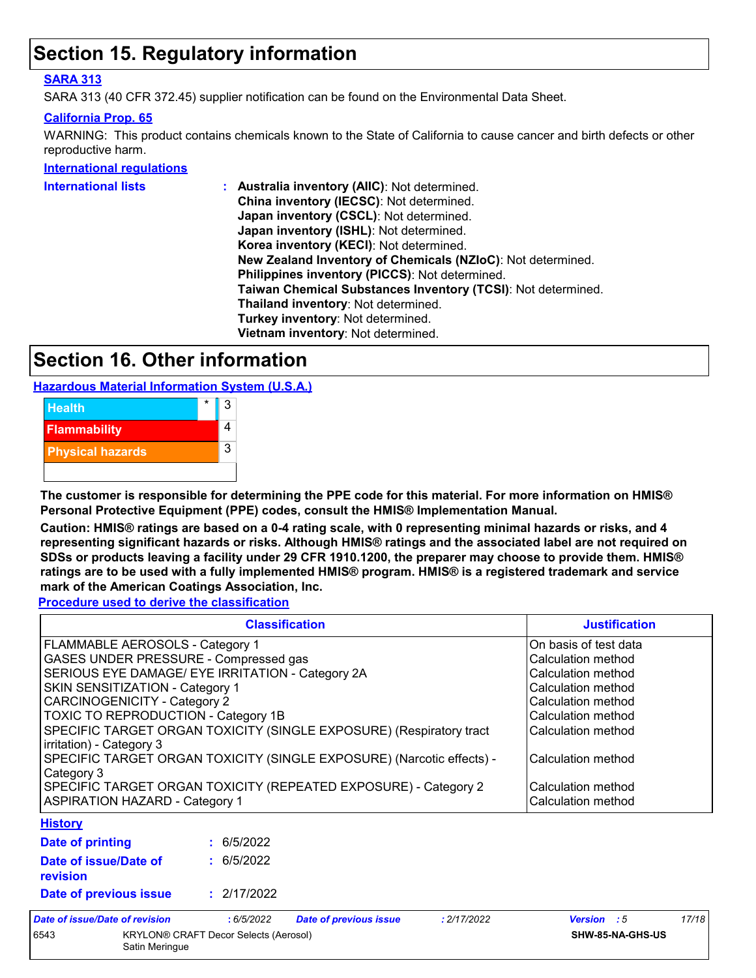### **Section 15. Regulatory information**

#### **SARA 313**

SARA 313 (40 CFR 372.45) supplier notification can be found on the Environmental Data Sheet.

#### **California Prop. 65**

WARNING: This product contains chemicals known to the State of California to cause cancer and birth defects or other reproductive harm.

#### **International regulations**

| International lists | : Australia inventory (AIIC): Not determined.                |
|---------------------|--------------------------------------------------------------|
|                     | China inventory (IECSC): Not determined.                     |
|                     | Japan inventory (CSCL): Not determined.                      |
|                     | Japan inventory (ISHL): Not determined.                      |
|                     | Korea inventory (KECI): Not determined.                      |
|                     | New Zealand Inventory of Chemicals (NZIoC): Not determined.  |
|                     | Philippines inventory (PICCS): Not determined.               |
|                     | Taiwan Chemical Substances Inventory (TCSI): Not determined. |
|                     | Thailand inventory: Not determined.                          |
|                     | Turkey inventory: Not determined.                            |
|                     | Vietnam inventory: Not determined.                           |
|                     |                                                              |

### **Section 16. Other information**

**Hazardous Material Information System (U.S.A.)**



**The customer is responsible for determining the PPE code for this material. For more information on HMIS® Personal Protective Equipment (PPE) codes, consult the HMIS® Implementation Manual.**

**Caution: HMIS® ratings are based on a 0-4 rating scale, with 0 representing minimal hazards or risks, and 4 representing significant hazards or risks. Although HMIS® ratings and the associated label are not required on SDSs or products leaving a facility under 29 CFR 1910.1200, the preparer may choose to provide them. HMIS® ratings are to be used with a fully implemented HMIS® program. HMIS® is a registered trademark and service mark of the American Coatings Association, Inc.**

**Procedure used to derive the classification**

|                                                                                                 |                                 | <b>Classification</b>         |                    | <b>Justification</b>  |       |
|-------------------------------------------------------------------------------------------------|---------------------------------|-------------------------------|--------------------|-----------------------|-------|
| FLAMMABLE AEROSOLS - Category 1                                                                 |                                 |                               |                    | On basis of test data |       |
| GASES UNDER PRESSURE - Compressed gas                                                           |                                 |                               |                    | Calculation method    |       |
| SERIOUS EYE DAMAGE/ EYE IRRITATION - Category 2A<br>Calculation method                          |                                 |                               |                    |                       |       |
|                                                                                                 | SKIN SENSITIZATION - Category 1 |                               |                    | Calculation method    |       |
| <b>CARCINOGENICITY - Category 2</b><br>TOXIC TO REPRODUCTION - Category 1B                      |                                 |                               |                    | Calculation method    |       |
|                                                                                                 |                                 |                               | Calculation method |                       |       |
| SPECIFIC TARGET ORGAN TOXICITY (SINGLE EXPOSURE) (Respiratory tract<br>irritation) - Category 3 |                                 |                               |                    | Calculation method    |       |
| SPECIFIC TARGET ORGAN TOXICITY (SINGLE EXPOSURE) (Narcotic effects) -<br>Category 3             |                                 |                               |                    | Calculation method    |       |
| SPECIFIC TARGET ORGAN TOXICITY (REPEATED EXPOSURE) - Category 2                                 |                                 |                               |                    | Calculation method    |       |
| <b>ASPIRATION HAZARD - Category 1</b>                                                           |                                 |                               |                    | Calculation method    |       |
| <b>History</b>                                                                                  |                                 |                               |                    |                       |       |
| <b>Date of printing</b>                                                                         | : 6/5/2022                      |                               |                    |                       |       |
| Date of issue/Date of<br>revision                                                               | : 6/5/2022                      |                               |                    |                       |       |
| Date of previous issue                                                                          | : 2/17/2022                     |                               |                    |                       |       |
| Date of issue/Date of revision                                                                  | :6/5/2022                       | <b>Date of previous issue</b> | : 2/17/2022        | <b>Version</b> : 5    | 17/18 |